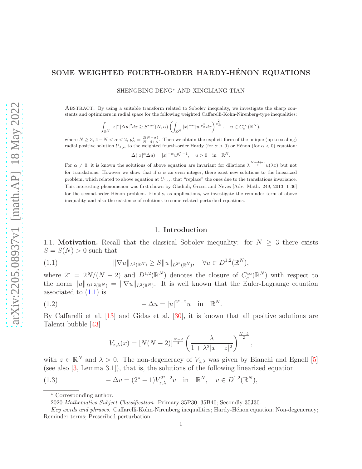# SOME WEIGHTED FOURTH-ORDER HARDY-HÉNON EQUATIONS

SHENGBING DENG<sup>∗</sup> AND XINGLIANG TIAN

Abstract. By using a suitable transform related to Sobolev inequality, we investigate the sharp constants and optimizers in radial space for the following weighted Caffarelli-Kohn-Nirenberg-type inequalities:

$$
\int_{\mathbb{R}^N}|x|^{\alpha}|\Delta u|^2dx\geq S^{rad}(N,\alpha)\left(\int_{\mathbb{R}^N}|x|^{-\alpha}|u|^{p^*_\alpha}dx\right)^{\frac{2}{p^*_\alpha}},\quad u\in C_c^\infty(\mathbb{R}^N),
$$

where  $N \geq 3, 4-N < \alpha < 2, p^*_{\alpha} = \frac{2(N-\alpha)}{N-4+\alpha}$ . Then we obtain the explicit form of the unique (up to scaling) radial positive solution  $U_{\lambda,\alpha}$  to the weighted fourth-order Hardy (for  $\alpha > 0$ ) or Hénon (for  $\alpha < 0$ ) equation:

$$
\Delta(|x|^{\alpha}\Delta u) = |x|^{-\alpha}u^{p_{\alpha}^{*}-1}, \quad u > 0 \quad \text{in} \quad \mathbb{R}^{N}.
$$

For  $\alpha \neq 0$ , it is known the solutions of above equation are invariant for dilations  $\lambda^{\frac{N-4+\alpha}{2}}u(\lambda x)$  but not for translations. However we show that if  $\alpha$  is an even integer, there exist new solutions to the linearized problem, which related to above equation at  $U_{1,\alpha}$ , that "replace" the ones due to the translations invariance. This interesting phenomenon was first shown by Gladiali, Grossi and Neves [Adv. Math. 249, 2013, 1-36] for the second-order Hénon problem. Finally, as applications, we investigate the reminder term of above inequality and also the existence of solutions to some related perturbed equations.

#### <span id="page-0-0"></span>1. Introduction

1.1. **Motivation.** Recall that the classical Sobolev inequality: for  $N \geq 3$  there exists  $S = S(N) > 0$  such that

(1.1) 
$$
\|\nabla u\|_{L^2(\mathbb{R}^N)} \geq S \|u\|_{L^{2^*}(\mathbb{R}^N)}, \quad \forall u \in D^{1,2}(\mathbb{R}^N),
$$

where  $2^* = 2N/(N-2)$  and  $D^{1,2}(\mathbb{R}^N)$  denotes the closure of  $C_c^{\infty}(\mathbb{R}^N)$  with respect to the norm  $||u||_{D^{1,2}(\mathbb{R}^N)} = ||\nabla u||_{L^2(\mathbb{R}^N)}$ . It is well known that the Euler-Lagrange equation associated to  $(1.1)$  is

(1.2) 
$$
-\Delta u = |u|^{2^*-2}u \text{ in } \mathbb{R}^N.
$$

By Caffarelli et al. [\[13\]](#page-21-0) and Gidas et al. [\[30\]](#page-22-0), it is known that all positive solutions are Talenti bubble [\[43\]](#page-22-1)

<span id="page-0-1"></span>
$$
V_{z,\lambda}(x) = [N(N-2)]^{\frac{N-2}{4}} \left(\frac{\lambda}{1 + \lambda^2 |x - z|^2}\right)^{\frac{N-2}{2}}
$$

,

with  $z \in \mathbb{R}^N$  and  $\lambda > 0$ . The non-degeneracy of  $V_{z,\lambda}$  was given by Bianchi and Egnell [\[5\]](#page-21-1) (see also [\[3,](#page-21-2) Lemma 3.1]), that is, the solutions of the following linearized equation

(1.3) 
$$
-\Delta v = (2^* - 1)V_{z,\lambda}^{2^*-2}v \text{ in } \mathbb{R}^N, v \in D^{1,2}(\mathbb{R}^N),
$$

<sup>∗</sup> Corresponding author.

<sup>2020</sup> Mathematics Subject Classification. Primary 35P30, 35B40; Secondly 35J30.

Key words and phrases. Caffarelli-Kohn-Nirenberg inequalities; Hardy-Hénon equation; Non-degeneracy; Reminder terms; Prescribed perturbation.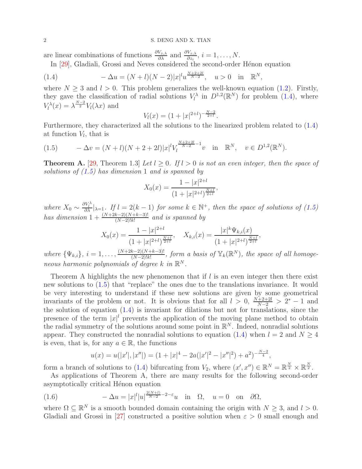are linear combinations of functions  $\frac{\partial V_{z,\lambda}}{\partial \lambda}$  and  $\frac{\partial V_{z,\lambda}}{\partial z_i}$ ,  $i = 1, \ldots, N$ .

<span id="page-1-0"></span>In [\[29\]](#page-22-2), Gladiali, Grossi and Neves considered the second-order Hénon equation

(1.4) 
$$
-\Delta u = (N+l)(N-2)|x|^l u^{\frac{N+2+2l}{N-2}}, \quad u > 0 \quad \text{in} \quad \mathbb{R}^N,
$$

where  $N > 3$  and  $l > 0$ . This problem generalizes the well-known equation [\(1.2\)](#page-0-1). Firstly, they gave the classification of radial solutions  $V_l^{\lambda}$  in  $D^{1,2}(\mathbb{R}^N)$  for problem  $(1.4)$ , where  $V_l^{\lambda}(x) = \lambda^{\frac{N-2}{2}} V_l(\lambda x)$  and

$$
V_l(x) = (1+|x|^{2+l})^{-\frac{N-2}{2+l}}.
$$

Furthermore, they characterized all the solutions to the linearized problem related to [\(1.4\)](#page-1-0) at function  $V_l$ , that is

<span id="page-1-1"></span>
$$
(1.5) \qquad -\Delta v = (N+l)(N+2+2l)|x|^l V_l^{\frac{N+2+2l}{N-2}-1}v \quad \text{in} \quad \mathbb{R}^N, \quad v \in D^{1,2}(\mathbb{R}^N).
$$

**Theorem A.** [\[29,](#page-22-2) Theorem 1.3] Let  $l > 0$ . If  $l > 0$  is not an even integer, then the space of solutions of  $(1.5)$  has dimension 1 and is spanned by

$$
X_0(x) = \frac{1 - |x|^{2+l}}{(1 + |x|^{2+l})^{\frac{N+l}{2+l}}},
$$

where  $X_0 \sim \frac{\partial V_l^{\lambda}}{\partial \lambda} |_{\lambda=1}$ . If  $l = 2(k-1)$  for some  $k \in \mathbb{N}^+$ , then the space of solutions of  $(1.5)$ has dimension  $1 + \frac{(N+2k-2)(N+k-3)!}{(N-2)!k!}$  and is spanned by

$$
X_0(x) = \frac{1 - |x|^{2+l}}{(1 + |x|^{2+l})^{\frac{N+l}{2+l}}}, \quad X_{k,i}(x) = \frac{|x|^k \Psi_{k,i}(x)}{(1 + |x|^{2+l})^{\frac{N+l}{2+l}}},
$$

where  $\{\Psi_{k,i}\}, i = 1, \ldots, \frac{(N+2k-2)(N+k-3)!}{(N-2)!k!}$  $\frac{(N-2)(N+k-3)!}{(N-2)!k!}$ , form a basis of  $\mathbb{Y}_k(\mathbb{R}^N)$ , the space of all homogeneous harmonic polynomials of degree  $k$  in  $\mathbb{R}^N$ .

Theorem A highlights the new phenomenon that if  $l$  is an even integer then there exist new solutions to [\(1.5\)](#page-1-1) that "replace" the ones due to the translations invariance. It would be very interesting to understand if these new solutions are given by some geometrical invariants of the problem or not. It is obvious that for all  $l > 0$ ,  $\frac{N+2+2l}{N-2} > 2^* - 1$  and the solution of equation  $(1.4)$  is invariant for dilations but not for translations, since the presence of the term  $|x|^l$  prevents the application of the moving plane method to obtain the radial symmetry of the solutions around some point in  $\mathbb{R}^N$ . Indeed, nonradial solutions appear. They constructed the nonradial solutions to equation [\(1.4\)](#page-1-0) when  $l = 2$  and  $N \geq 4$ is even, that is, for any  $a \in \mathbb{R}$ , the functions

<span id="page-1-2"></span>
$$
u(x) = u(|x'|, |x''|) = (1 + |x|^4 - 2a(|x'|^2 - |x''|^2) + a^2)^{-\frac{N-2}{4}},
$$

form a branch of solutions to [\(1.4\)](#page-1-0) bifurcating from  $V_2$ , where  $(x', x'') \in \mathbb{R}^N = \mathbb{R}^{\frac{N}{2}} \times \mathbb{R}^{\frac{N}{2}}$ .

As applications of Theorem A, there are many results for the following second-order asymptotically critical Hénon equation

(1.6) 
$$
-\Delta u = |x|^l |u|^{\frac{2(N+l)}{N-2}-2-\varepsilon} u \quad \text{in} \quad \Omega, \quad u = 0 \quad \text{on} \quad \partial \Omega,
$$

where  $\Omega \subseteq \mathbb{R}^N$  is a smooth bounded domain containing the origin with  $N \geq 3$ , and  $l > 0$ . Gladiali and Grossi in [\[27\]](#page-22-3) constructed a positive solution when  $\varepsilon > 0$  small enough and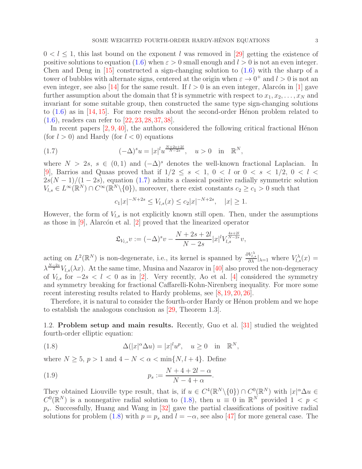$0 < l \leq 1$ , this last bound on the exponent l was removed in [\[29\]](#page-22-2) getting the existence of positive solutions to equation [\(1.6\)](#page-1-2) when  $\varepsilon > 0$  small enough and  $l > 0$  is not an even integer. Chen and Deng in  $[15]$  constructed a sign-changing solution to  $(1.6)$  with the sharp of a tower of bubbles with alternate signs, centered at the origin when  $\varepsilon \to 0^+$  and  $l > 0$  is not an even integer, see also [\[14\]](#page-21-4) for the same result. If  $l > 0$  is an even integer, Alarcón in [\[1\]](#page-21-5) gave further assumption about the domain that  $\Omega$  is symmetric with respect to  $x_1, x_2, \ldots, x_N$  and invariant for some suitable group, then constructed the same type sign-changing solutions to  $(1.6)$  as in [\[14,](#page-21-4) [15\]](#page-21-3). For more results about the second-order Hénon problem related to [\(1.6\)](#page-1-2), readers can refer to [\[22,](#page-21-6) [23,](#page-21-7) [28,](#page-22-4) [37,](#page-22-5) [38\]](#page-22-6).

In recent papers  $[2, 9, 40]$  $[2, 9, 40]$  $[2, 9, 40]$  $[2, 9, 40]$ , the authors considered the following critical fractional Hénon (for  $l > 0$ ) and Hardy (for  $l < 0$ ) equations

(1.7) 
$$
(-\Delta)^s u = |x|^l u^{\frac{N+2s+2l}{N-2s}}, \quad u > 0 \quad \text{in} \quad \mathbb{R}^N,
$$

where  $N > 2s$ ,  $s \in (0, 1)$  and  $(-\Delta)^s$  denotes the well-known fractional Laplacian. In [\[9\]](#page-21-9), Barrios and Quaas proved that if  $1/2 \leq s < 1$ ,  $0 < l$  or  $0 < s < 1/2$ ,  $0 < l <$  $2s(N-1)/(1-2s)$ , equation [\(1.7\)](#page-2-0) admits a classical positive radially symmetric solution  $V_{l,s} \in L^{\infty}(\mathbb{R}^N) \cap C^{\infty}(\mathbb{R}^N \setminus \{0\}),$  moreover, there exist constants  $c_2 \geq c_1 > 0$  such that

<span id="page-2-0"></span>
$$
c_1|x|^{-N+2s} \le V_{l,s}(x) \le c_2|x|^{-N+2s}, \quad |x| \ge 1.
$$

However, the form of  $V_{l,s}$  is not explicitly known still open. Then, under the assumptions as those in  $[9]$ , Alarcón et al.  $[2]$  proved that the linearized operator

$$
\mathfrak{L}_{V_{l,s}}v := (-\Delta)^s v - \frac{N+2s+2l}{N-2s}|x|^l V_{l,s}^{\frac{4s+2l}{N-2s}}v,
$$

acting on  $L^2(\mathbb{R}^N)$  is non-degenerate, i.e., its kernel is spanned by  $\frac{\partial V_{t,s}^{\lambda}}{\partial \lambda}\big|_{\lambda=1}$  where  $V_{t,s}^{\lambda}(x)$  $\lambda^{\frac{N-2s}{2}}V_{l,s}(\lambda x)$ . At the same time, Musina and Nazarov in [\[40\]](#page-22-7) also proved the non-degeneracy of  $V_{l,s}$  for  $-2s < l < 0$  as in [\[2\]](#page-21-8). Very recently, Ao et al. [\[4\]](#page-21-10) considered the symmetry and symmetry breaking for fractional Caffarelli-Kohn-Nirenberg inequality. For more some recent interesting results related to Hardy problems, see [\[8,](#page-21-11) [19,](#page-21-12) [20,](#page-21-13) [26\]](#page-22-8).

Therefore, it is natural to consider the fourth-order Hardy or Hénon problem and we hope to establish the analogous conclusion as [\[29,](#page-22-2) Theorem 1.3].

1.2. Problem setup and main results. Recently, Guo et al. [\[31\]](#page-22-9) studied the weighted fourth-order elliptic equation:

<span id="page-2-1"></span>(1.8) 
$$
\Delta(|x|^{\alpha}\Delta u) = |x|^l u^p, \quad u \ge 0 \quad \text{in} \quad \mathbb{R}^N,
$$

where  $N \geq 5$ ,  $p > 1$  and  $4 - N < \alpha < \min\{N, l + 4\}$ . Define

(1.9) 
$$
p_s := \frac{N + 4 + 2l - \alpha}{N - 4 + \alpha}.
$$

They obtained Liouville type result, that is, if  $u \in C^4(\mathbb{R}^N \setminus \{0\}) \cap C^0(\mathbb{R}^N)$  with  $|x|^{\alpha} \Delta u \in$  $C^0(\mathbb{R}^N)$  is a nonnegative radial solution to [\(1.8\)](#page-2-1), then  $u \equiv 0$  in  $\mathbb{R}^N$  provided  $1 < p <$  $p_s$ . Successfully, Huang and Wang in [\[32\]](#page-22-10) gave the partial classifications of positive radial solutions for problem [\(1.8\)](#page-2-1) with  $p = p_s$  and  $l = -\alpha$ , see also [\[47\]](#page-22-11) for more general case. The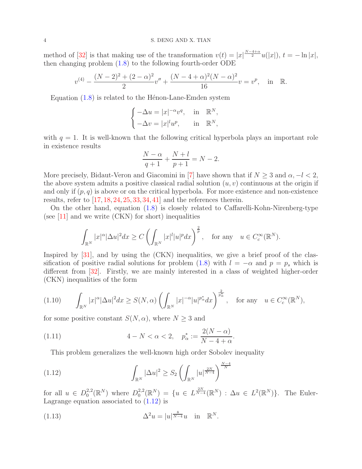method of [\[32\]](#page-22-10) is that making use of the transformation  $v(t) = |x|^{\frac{N-4+\alpha}{2}}u(|x|)$ ,  $t = -\ln|x|$ , then changing problem [\(1.8\)](#page-2-1) to the following fourth-order ODE

$$
v^{(4)} - \frac{(N-2)^2 + (2-\alpha)^2}{2}v'' + \frac{(N-4+\alpha)^2(N-\alpha)^2}{16}v = v^p, \text{ in } \mathbb{R}.
$$

Equation  $(1.8)$  is related to the Hénon-Lane-Emden system

$$
\begin{cases}\n-\Delta u = |x|^{-\alpha}v^q, & \text{in } \mathbb{R}^N, \\
-\Delta v = |x|^l u^p, & \text{in } \mathbb{R}^N,\n\end{cases}
$$

with  $q = 1$ . It is well-known that the following critical hyperbola plays an important role in existence results

$$
\frac{N-\alpha}{q+1} + \frac{N+l}{p+1} = N-2.
$$

More precisely, Bidaut-Veron and Giacomini in [\[7\]](#page-21-14) have shown that if  $N \geq 3$  and  $\alpha, -l < 2$ , the above system admits a positive classical radial solution  $(u, v)$  continuous at the origin if and only if  $(p, q)$  is above or on the critical hyperbola. For more existence and non-existence results, refer to  $[17, 18, 24, 25, 33, 34, 41]$  $[17, 18, 24, 25, 33, 34, 41]$  $[17, 18, 24, 25, 33, 34, 41]$  $[17, 18, 24, 25, 33, 34, 41]$  $[17, 18, 24, 25, 33, 34, 41]$  $[17, 18, 24, 25, 33, 34, 41]$  $[17, 18, 24, 25, 33, 34, 41]$  $[17, 18, 24, 25, 33, 34, 41]$  $[17, 18, 24, 25, 33, 34, 41]$  $[17, 18, 24, 25, 33, 34, 41]$  $[17, 18, 24, 25, 33, 34, 41]$  $[17, 18, 24, 25, 33, 34, 41]$  and the references therein.

On the other hand, equation [\(1.8\)](#page-2-1) is closely related to Caffarelli-Kohn-Nirenberg-type (see  $[11]$  and we write  $(CKN)$  for short) inequalities

$$
\int_{\mathbb{R}^N} |x|^{\alpha} |\Delta u|^2 dx \ge C \left( \int_{\mathbb{R}^N} |x|^l |u|^p dx \right)^{\frac{2}{p}}, \quad \text{for any} \quad u \in C_c^{\infty}(\mathbb{R}^N).
$$

Inspired by [\[31\]](#page-22-9), and by using the (CKN) inequalities, we give a brief proof of the clas-sification of positive radial solutions for problem [\(1.8\)](#page-2-1) with  $l = -\alpha$  and  $p = p_s$  which is different from [\[32\]](#page-22-10). Firstly, we are mainly interested in a class of weighted higher-order (CKN) inequalities of the form

<span id="page-3-2"></span>
$$
(1.10) \qquad \int_{\mathbb{R}^N} |x|^{\alpha} |\Delta u|^2 dx \ge S(N, \alpha) \left( \int_{\mathbb{R}^N} |x|^{-\alpha} |u|^{p^*_{\alpha}} dx \right)^{\frac{2}{p^*_{\alpha}}}, \quad \text{for any} \quad u \in C_c^{\infty}(\mathbb{R}^N),
$$

for some positive constant  $S(N, \alpha)$ , where  $N \geq 3$  and

(1.11) 
$$
4 - N < \alpha < 2, \quad p_{\alpha}^* := \frac{2(N - \alpha)}{N - 4 + \alpha}.
$$

<span id="page-3-0"></span>This problem generalizes the well-known high order Sobolev inequality

(1.12) 
$$
\int_{\mathbb{R}^N} |\Delta u|^2 \ge S_2 \left( \int_{\mathbb{R}^N} |u|^{\frac{2N}{N-4}} \right)^{\frac{N-4}{N}}
$$

for all  $u \in D_0^{2,2}$  $_{0}^{2,2}(\mathbb{R}^{N})$  where  $D_{0}^{2,2}$  $L_0^{2,2}(\mathbb{R}^N) = \{u \in L^{\frac{2N}{N-4}}(\mathbb{R}^N) : \Delta u \in L^2(\mathbb{R}^N)\}.$  The Euler-Lagrange equation associated to [\(1.12\)](#page-3-0) is

<span id="page-3-1"></span>(1.13) 
$$
\Delta^2 u = |u|^{\frac{8}{N-4}} u \quad \text{in} \quad \mathbb{R}^N.
$$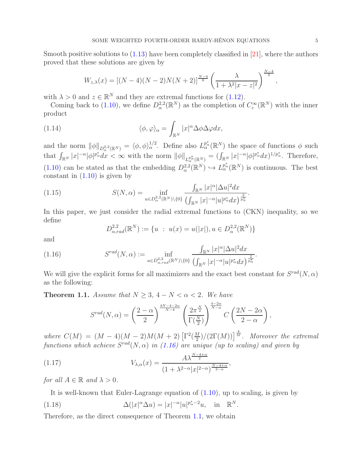Smooth positive solutions to  $(1.13)$  have been completely classified in [\[21\]](#page-21-20), where the authors proved that these solutions are given by

$$
W_{z,\lambda}(x) = [(N-4)(N-2)N(N+2)]^{\frac{N-4}{8}} \left(\frac{\lambda}{1+\lambda^2|x-z|^2}\right)^{\frac{N-4}{2}}
$$

with  $\lambda > 0$  and  $z \in \mathbb{R}^N$  and they are extremal functions for [\(1.12\)](#page-3-0).

Coming back to [\(1.10\)](#page-3-2), we define  $D_{\alpha}^{2,2}(\mathbb{R}^N)$  as the completion of  $C_c^{\infty}(\mathbb{R}^N)$  with the inner product

(1.14) 
$$
\langle \phi, \varphi \rangle_{\alpha} = \int_{\mathbb{R}^N} |x|^{\alpha} \Delta \phi \Delta \varphi dx,
$$

and the norm  $\|\phi\|_{D^{2,2}_{\alpha}(\mathbb{R}^N)} = \langle \phi, \phi \rangle_{\alpha}^{1/2}$ . Define also  $L^{p^*_{\alpha}}_{\alpha}(\mathbb{R}^N)$  the space of functions  $\phi$  such that  $\int_{\mathbb{R}^N} |x|^{-\alpha} |\phi|^{p^*_{\alpha}} dx < \infty$  with the norm  $\|\phi\|_{L^{p^*_{\alpha}}_{\alpha}(\mathbb{R}^N)} = (\int_{\mathbb{R}^N} |x|^{-\alpha} |\phi|^{p^*_{\alpha}} dx)^{1/p^*_{\alpha}}$ . Therefore,  $(1.10)$  can be stated as that the embedding  $D_{\alpha}^{2,2}(\mathbb{R}^N) \hookrightarrow L_{\alpha}^{p_{\alpha}^*}(\mathbb{R}^N)$  is continuous. The best constant in  $(1.10)$  is given by

(1.15) 
$$
S(N, \alpha) = \inf_{u \in D_{\alpha}^{2,2}(\mathbb{R}^N) \setminus \{0\}} \frac{\int_{\mathbb{R}^N} |x|^{\alpha} |\Delta u|^2 dx}{\left(\int_{\mathbb{R}^N} |x|^{-\alpha} |u|^{p^*_{\alpha}} dx\right)^{\frac{2}{p^*_{\alpha}}}}
$$

In this paper, we just consider the radial extremal functions to (CKN) inequality, so we define

<span id="page-4-3"></span><span id="page-4-0"></span>
$$
D_{\alpha,rad}^{2,2}(\mathbb{R}^N) := \{ u : u(x) = u(|x|), u \in D_{\alpha}^{2,2}(\mathbb{R}^N) \}
$$

and

(1.16) 
$$
S^{rad}(N,\alpha) := \inf_{u \in D_{\alpha,rad}^{2,2}(\mathbb{R}^N)\backslash\{0\}} \frac{\int_{\mathbb{R}^N} |x|^{\alpha} |\Delta u|^2 dx}{\left(\int_{\mathbb{R}^N} |x|^{-\alpha} |u|^{p^*_{\alpha}} dx\right)^{\frac{2}{p^*_{\alpha}}}}.
$$

We will give the explicit forms for all maximizers and the exact best constant for  $S^{rad}(N, \alpha)$ as the following:

<span id="page-4-1"></span>**Theorem 1.1.** Assume that  $N \geq 3$ ,  $4 - N < \alpha < 2$ . We have

$$
S^{rad}(N,\alpha) = \left(\frac{2-\alpha}{2}\right)^{\frac{4N-4-2\alpha}{N-4}} \left(\frac{2\pi^{\frac{N}{2}}}{\Gamma(\frac{N}{2})}\right)^{\frac{4-2\alpha}{N-\alpha}} C\left(\frac{2N-2\alpha}{2-\alpha}\right),
$$

where  $C(M) = (M-4)(M-2)M(M+2) \left[ \Gamma^2(\frac{M}{2}) \right]$  $\frac{2M}{2}$ )/(2 $\Gamma(M)$ )]<sup> $\frac{4}{M}$ </sup>. Moreover the extremal functions which achieve  $S^{rad}(N, \alpha)$  in [\(1.16\)](#page-4-0) are unique (up to scaling) and given by

(1.17) 
$$
V_{\lambda,\alpha}(x) = \frac{A\lambda^{\frac{N-4+\alpha}{2}}}{(1+\lambda^{2-\alpha}|x|^{2-\alpha})^{\frac{N-4+\alpha}{2-\alpha}}}
$$

for all  $A \in \mathbb{R}$  and  $\lambda > 0$ .

It is well-known that Euler-Lagrange equation of [\(1.10\)](#page-3-2), up to scaling, is given by

<span id="page-4-2"></span>(1.18) 
$$
\Delta(|x|^{\alpha}\Delta u) = |x|^{-\alpha}|u|^{p_{\alpha}^{*}-2}u, \text{ in } \mathbb{R}^{N}.
$$

Therefore, as the direct consequence of Theorem [1.1,](#page-4-1) we obtain

,

.

,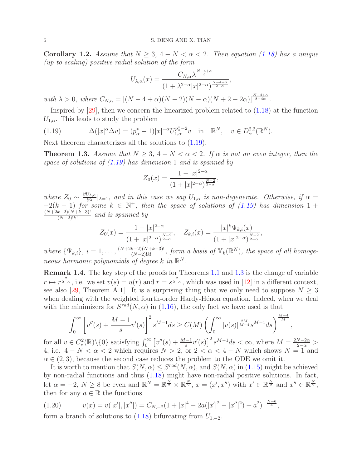<span id="page-5-2"></span>Corollary 1.2. Assume that  $N \geq 3$ ,  $4-N < \alpha < 2$ . Then equation [\(1.18\)](#page-4-2) has a unique (up to scaling) positive radial solution of the form

$$
U_{\lambda,\alpha}(x) = \frac{C_{N,\alpha} \lambda^{\frac{N-4+\alpha}{2}}}{(1 + \lambda^{2-\alpha}|x|^{2-\alpha})^{\frac{N-4+\alpha}{2-\alpha}}},
$$

with  $\lambda > 0$ , where  $C_{N,\alpha} = [(N-4+\alpha)(N-2)(N-\alpha)(N+2-2\alpha)]^{\frac{N-4+\alpha}{8-4\alpha}}$ .

Inspired by [\[29\]](#page-22-2), then we concern the linearized problem related to [\(1.18\)](#page-4-2) at the function  $U_{1,\alpha}$ . This leads to study the problem

<span id="page-5-0"></span>(1.19) 
$$
\Delta(|x|^{\alpha}\Delta v) = (p_{\alpha}^{*}-1)|x|^{-\alpha}U_{1,\alpha}^{p_{\alpha}^{*}-2}v \text{ in } \mathbb{R}^{N}, v \in D_{\alpha}^{2,2}(\mathbb{R}^{N}).
$$

Next theorem characterizes all the solutions to [\(1.19\)](#page-5-0).

<span id="page-5-1"></span>**Theorem 1.3.** Assume that  $N \geq 3$ ,  $4 - N < \alpha < 2$ . If  $\alpha$  is not an even integer, then the space of solutions of  $(1.19)$  has dimension 1 and is spanned by

$$
Z_0(x) = \frac{1 - |x|^{2-\alpha}}{(1 + |x|^{2-\alpha})^{\frac{N-2}{2-\alpha}}},
$$

where  $Z_0 \sim \frac{\partial U_{\lambda,\alpha}}{\partial \lambda}|_{\lambda=1}$ , and in this case we say  $U_{1,\alpha}$  is non-degenerate. Otherwise, if  $\alpha =$  $-2(k-1)$  for some  $k \in \mathbb{N}^+$ , then the space of solutions of [\(1.19\)](#page-5-0) has dimension 1 +  $(N+2k-2)(N+k-3)!$  $\frac{\kappa-2)(N+\kappa-3)!}{(N-2)!k!}$  and is spanned by

$$
Z_0(x) = \frac{1 - |x|^{2-\alpha}}{(1 + |x|^{2-\alpha})^{\frac{N-2}{2-\alpha}}}, \quad Z_{k,i}(x) = \frac{|x|^k \Psi_{k,i}(x)}{(1 + |x|^{2-\alpha})^{\frac{N-2}{2-\alpha}}},
$$

where  $\{\Psi_{k,i}\}, i = 1, \ldots, \frac{(N+2k-2)(N+k-3)!}{(N-2)!k!}$  $\frac{(N-2)(N+k-3)!}{(N-2)!k!}$ , form a basis of  $\mathbb{Y}_k(\mathbb{R}^N)$ , the space of all homogeneous harmonic polynomials of degree  $k$  in  $\mathbb{R}^N$ .

Remark 1.4. The key step of the proofs for Theorems [1.1](#page-4-1) and [1.3](#page-5-1) is the change of variable  $r \mapsto r^{\frac{2}{2-\alpha}}$ , i.e. we set  $v(s) = u(r)$  and  $r = s^{\frac{2}{2-\alpha}}$ , which was used in [\[12\]](#page-21-21) in a different context, see also [\[29,](#page-22-2) Theorem A.1]. It is a surprising thing that we only need to suppose  $N > 3$ when dealing with the weighted fourth-order Hardy-Hénon equation. Indeed, when we deal with the minimizers for  $S^{rad}(N, \alpha)$  in [\(1.16\)](#page-4-0), the only fact we have used is that

$$
\int_0^\infty \left[ v''(s) + \frac{M-1}{s} v'(s) \right]^2 s^{M-1} ds \ge C(M) \left( \int_0^\infty |v(s)|^{\frac{2M}{M-4}} s^{M-1} ds \right)^{\frac{M-4}{M}}
$$

,

for all  $v \in C_c^2(\mathbb{R}) \setminus \{0\}$  satisfying  $\int_0^\infty \left[ v''(s) + \frac{M-1}{s}v'(s) \right]^2 s^{M-1} ds < \infty$ , where  $M = \frac{2N-2\alpha}{2-\alpha} >$ 4, i.e.  $4 - N < \alpha < 2$  which requires  $N > 2$ , or  $2 < \alpha < 4 - N$  which shows  $N = 1$  and  $\alpha \in (2, 3)$ , because the second case reduces the problem to the ODE we omit it.

It is worth to mention that  $S(N, \alpha) \leq S^{rad}(N, \alpha)$ , and  $S(N, \alpha)$  in [\(1.15\)](#page-4-3) might be achieved by non-radial functions and thus [\(1.18\)](#page-4-2) might have non-radial positive solutions. In fact, let  $\alpha = -2, N \ge 8$  be even and  $\mathbb{R}^N = \mathbb{R}^{\frac{N}{2}} \times \mathbb{R}^{\frac{N}{2}}, x = (x', x'')$  with  $x' \in \mathbb{R}^{\frac{N}{2}}$  and  $x'' \in \mathbb{R}^{\frac{N}{2}}$ , then for any  $a \in \mathbb{R}$  the functions

(1.20) 
$$
v(x) = v(|x'|, |x''|) = C_{N, -2}(1 + |x|^4 - 2a(|x'|^2 - |x''|^2) + a^2)^{-\frac{N-6}{4}},
$$

form a branch of solutions to [\(1.18\)](#page-4-2) bifurcating from  $U_{1,-2}$ .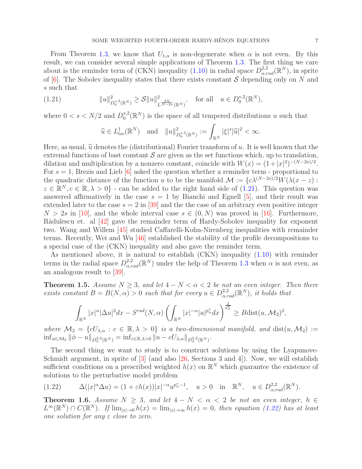From Theorem [1.3,](#page-5-1) we know that  $U_{1,\alpha}$  is non-degenerate when  $\alpha$  is not even. By this result, we can consider several simple applications of Theorem [1.3.](#page-5-1) The first thing we care about is the reminder term of (CKN) inequality [\(1.10\)](#page-3-2) in radial space  $D^{2,2}_{\alpha,rad}(\mathbb{R}^N)$ , in sprite of  $[6]$ . The Sobolev inequality states that there exists constant S depending only on N and s such that

$$
(1.21) \t\t ||u||_{D_0^{s,2}(\mathbb{R}^N)}^2 \geq \mathcal{S}||u||_{L^{\frac{2N}{N-2s}}(\mathbb{R}^N)}^2, \t \text{ for all } u \in D_0^{s,2}(\mathbb{R}^N),
$$

where  $0 < s < N/2$  and  $D_0^{s,2}$  $\mathbb{R}^{s,2}_{0}(\mathbb{R}^{N})$  is the space of all tempered distributions u such that

<span id="page-6-0"></span>
$$
\widehat{u} \in L^1_{loc}(\mathbb{R}^N)
$$
 and  $||u||^2_{D_0^{s,2}(\mathbb{R}^N)} := \int_{\mathbb{R}^N} |\xi|^s |\widehat{u}|^2 < \infty$ .

Here, as usual,  $\hat{u}$  denotes the (distributional) Fourier transform of u. It is well known that the extremal functions of bast constant  $\mathcal S$  are given as the set functions which, up to translation, dilation and multiplication by a nonzero constant, coincide with  $W(x) = (1+|x|^2)^{-(N-2s)/2}$ . For  $s = 1$ , Brezis and Lieb [\[6\]](#page-21-22) asked the question whether a reminder term - proportional to the quadratic distance of the function u to be the manifold  $\mathcal{M} := \{c\lambda^{(N-2s)/2}W(\lambda(x-z))\}$  $z \in \mathbb{R}^N, c \in \mathbb{R}, \lambda > 0$  - can be added to the right hand side of [\(1.21\)](#page-6-0). This question was answered affirmatively in the case  $s = 1$  by Bianchi and Egnell [\[5\]](#page-21-1), and their result was extended later to the case  $s = 2$  in [\[39\]](#page-22-15) and the the case of an arbitrary even positive integer  $N > 2s$  in [\[10\]](#page-21-23), and the whole interval case  $s \in (0, N)$  was proved in [\[16\]](#page-21-24). Furthermore, R $\ddot{\text{a}}$ dulescu et. al [\[42\]](#page-22-16) gave the remainder term of Hardy-Sobolev inequality for exponent two. Wang and Willem [\[45\]](#page-22-17) studied Caffarelli-Kohn-Nirenberg inequalities with remainder terms. Recently, Wei and Wu [\[46\]](#page-22-18) established the stability of the profile decompositions to a special case of the (CKN) inequality and also gave the reminder term.

As mentioned above, it is natural to establish (CKN) inequality [\(1.10\)](#page-3-2) with reminder terms in the radial space  $D^{2,2}_{\alpha,rad}(\mathbb{R}^N)$  under the help of Theorem [1.3](#page-5-1) when  $\alpha$  is not even, as an analogous result to [\[39\]](#page-22-15).

<span id="page-6-2"></span>**Theorem 1.5.** Assume  $N \geq 3$ , and let  $4 - N < \alpha < 2$  be not an even integer. Then there exists constant  $B = B(N, \alpha) > 0$  such that for every  $u \in D^{2,2}_{\alpha,rad}(\mathbb{R}^N)$ , it holds that

$$
\int_{\mathbb{R}^N} |x|^{\alpha} |\Delta u|^2 dx - S^{rad}(N, \alpha) \left( \int_{\mathbb{R}^N} |x|^{-\alpha} |u|^{p^*_{\alpha}} dx \right)^{\frac{2}{p^*_{\alpha}}} \geq B \text{dist}(u, \mathcal{M}_2)^2,
$$

where  $\mathcal{M}_2 = \{cU_{\lambda,\alpha} : c \in \mathbb{R}, \lambda > 0\}$  is a two-dimensional manifold, and  $dist(u, \mathcal{M}_2) :=$  $\inf_{\phi \in \mathcal{M}_2} \|\phi - u\|_{D^{2,2}_\alpha(\mathbb{R}^N)} = \inf_{c \in \mathbb{R}, \lambda > 0} \|u - c U_{\lambda,\alpha}\|_{D^{2,2}_\alpha(\mathbb{R}^N)}.$ 

The second thing we want to study is to construct solutions by using the Lyapunove-Schmidt argument, in sprite of  $[3]$  (and also  $[26,$  Sections 3 and 4]). Now, we will establish sufficient conditions on a prescribed weighted  $h(x)$  on  $\mathbb{R}^N$  which guarantee the existence of solutions to the perturbative model problem

<span id="page-6-1"></span>
$$
(1.22) \qquad \Delta(|x|^{\alpha}\Delta u) = (1+\varepsilon h(x))|x|^{-\alpha}u^{p_{\alpha}^* - 1}, \quad u > 0 \quad \text{in} \quad \mathbb{R}^N, \quad u \in D_{\alpha, rad}^{2,2}(\mathbb{R}^N).
$$

<span id="page-6-3"></span>**Theorem 1.6.** Assume  $N \geq 3$ , and let  $4 - N < \alpha < 2$  be not an even integer,  $h \in$  $L^{\infty}(\mathbb{R}^N) \cap C(\mathbb{R}^N)$ . If  $\lim_{|x| \to 0} h(x) = \lim_{|x| \to \infty} h(x) = 0$ , then equation [\(1.22\)](#page-6-1) has at least one solution for any  $\varepsilon$  close to zero.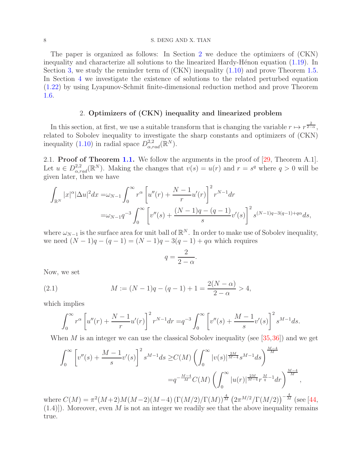#### 8 S. DENG AND X. TIAN

The paper is organized as follows: In Section [2](#page-7-0) we deduce the optimizers of (CKN) inequality and characterize all solutions to the linearized Hardy-Hénon equation  $(1.19)$ . In Section [3,](#page-11-0) we study the reminder term of (CKN) inequality [\(1.10\)](#page-3-2) and prove Theorem [1.5.](#page-6-2) In Section [4](#page-15-0) we investigate the existence of solutions to the related perturbed equation [\(1.22\)](#page-6-1) by using Lyapunov-Schmit finite-dimensional reduction method and prove Theorem [1.6.](#page-6-3)

### 2. Optimizers of (CKN) inequality and linearized problem

<span id="page-7-0"></span>In this section, at first, we use a suitable transform that is changing the variable  $r \mapsto r^{\frac{2}{2-\alpha}}$ , related to Sobolev inequality to investigate the sharp constants and optimizers of (CKN) inequality [\(1.10\)](#page-3-2) in radial space  $D_{\alpha, rad}^{2,2}(\mathbb{R}^N)$ .

2.1. Proof of Theorem [1.1.](#page-4-1) We follow the arguments in the proof of  $[29,$  Theorem A.1.]. Let  $u \in D^{2,2}_{\alpha,rad}(\mathbb{R}^N)$ . Making the changes that  $v(s) = u(r)$  and  $r = s^q$  where  $q > 0$  will be given later, then we have

$$
\int_{\mathbb{R}^N} |x|^{\alpha} |\Delta u|^2 dx = \omega_{N-1} \int_0^\infty r^{\alpha} \left[ u''(r) + \frac{N-1}{r} u'(r) \right]^2 r^{N-1} dr
$$
  
=  $\omega_{N-1} q^{-3} \int_0^\infty \left[ v''(s) + \frac{(N-1)q - (q-1)}{s} v'(s) \right]^2 s^{(N-1)q - 3(q-1) + q\alpha} ds,$ 

where  $\omega_{N-1}$  is the surface area for unit ball of  $\mathbb{R}^N$ . In order to make use of Sobolev inequality, we need  $(N-1)q - (q-1) = (N-1)q - 3(q-1) + q\alpha$  which requires

$$
q = \frac{2}{2 - \alpha}.
$$

Now, we set

(2.1) 
$$
M := (N-1)q - (q-1) + 1 = \frac{2(N-\alpha)}{2-\alpha} > 4,
$$

which implies

<span id="page-7-1"></span>
$$
\int_0^{\infty} r^{\alpha} \left[ u''(r) + \frac{N-1}{r} u'(r) \right]^2 r^{N-1} dr = q^{-3} \int_0^{\infty} \left[ v''(s) + \frac{M-1}{s} v'(s) \right]^2 s^{M-1} ds.
$$

When M is an integer we can use the classical Sobolev inequality (see  $[35,36]$  $[35,36]$ ) and we get

$$
\int_0^\infty \left[ v''(s) + \frac{M-1}{s} v'(s) \right]^2 s^{M-1} ds \ge C(M) \left( \int_0^\infty |v(s)|^{\frac{2M}{M-4}} s^{M-1} ds \right)^{\frac{M-4}{M}} \n= q^{-\frac{M-4}{M}} C(M) \left( \int_0^\infty |u(r)|^{\frac{2M}{M-4}} r^{\frac{M}{q}-1} dr \right)^{\frac{M-4}{M}},
$$

where  $C(M) = \pi^2(M+2)M(M-2)(M-4) (\Gamma(M/2)/\Gamma(M))^{\frac{4}{M}} (2\pi^{M/2}/\Gamma(M/2))^{-\frac{4}{M}}$  (see [\[44,](#page-22-21)  $(1.4)$ . Moreover, even M is not an integer we readily see that the above inequality remains true.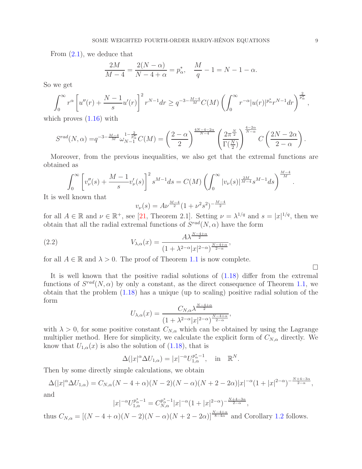From [\(2.1\)](#page-7-1), we deduce that

$$
\frac{2M}{M-4} = \frac{2(N-\alpha)}{N-4+\alpha} = p_{\alpha}^*, \quad \frac{M}{q} - 1 = N - 1 - \alpha.
$$

So we get

$$
\int_0^\infty r^\alpha \left[ u''(r) + \frac{N-1}{s} u'(r) \right]^2 r^{N-1} dr \ge q^{-3 - \frac{M-4}{M}} C(M) \left( \int_0^\infty r^{-\alpha} |u(r)|^{p^*_\alpha} r^{N-1} dr \right)^{\frac{2}{p^*_\alpha}},
$$

which proves  $(1.16)$  with

$$
S^{rad}(N,\alpha) = q^{-3-\frac{M-4}{M}} \omega_{N-1}^{1-\frac{2}{p_{\alpha}^*}} C(M) = \left(\frac{2-\alpha}{2}\right)^{\frac{4N-4-2\alpha}{N-4}} \left(\frac{2\pi^{\frac{N}{2}}}{\Gamma(\frac{N}{2})}\right)^{\frac{4-2\alpha}{N-\alpha}} C\left(\frac{2N-2\alpha}{2-\alpha}\right).
$$

Moreover, from the previous inequalities, we also get that the extremal functions are obtained as

$$
\int_0^{\infty} \left[ v''_{\nu}(s) + \frac{M-1}{s} v'_{\nu}(s) \right]^2 s^{M-1} ds = C(M) \left( \int_0^{\infty} |v_{\nu}(s)|^{\frac{2M}{M-4}} s^{M-1} ds \right)^{\frac{M-4}{M}}.
$$

It is well known that

$$
v_{\nu}(s) = A\nu^{\frac{M-4}{2}} (1 + \nu^2 s^2)^{-\frac{M-4}{2}}
$$

for all  $A \in \mathbb{R}$  and  $\nu \in \mathbb{R}^+$ , see [\[21,](#page-21-20) Theorem 2.1]. Setting  $\nu = \lambda^{1/q}$  and  $s = |x|^{1/q}$ , then we obtain that all the radial extremal functions of  $S^{rad}(N, \alpha)$  have the form

(2.2) 
$$
V_{\lambda,\alpha}(x) = \frac{A\lambda^{\frac{N-4+\alpha}{2}}}{(1+\lambda^{2-\alpha}|x|^{2-\alpha})^{\frac{N-4+\alpha}{2-\alpha}}},
$$

for all  $A \in \mathbb{R}$  and  $\lambda > 0$ . The proof of Theorem [1.1](#page-4-1) is now complete.

It is well known that the positive radial solutions of [\(1.18\)](#page-4-2) differ from the extremal functions of  $S^{rad}(N, \alpha)$  by only a constant, as the direct consequence of Theorem [1.1,](#page-4-1) we obtain that the problem [\(1.18\)](#page-4-2) has a unique (up to scaling) positive radial solution of the form  $N-A+$ 

$$
U_{\lambda,\alpha}(x) = \frac{C_{N,\alpha} \lambda^{\frac{N-4+\alpha}{2}}}{\left(1 + \lambda^{2-\alpha} |x|^{2-\alpha}\right)^{\frac{N-4+\alpha}{2-\alpha}}},
$$

with  $\lambda > 0$ , for some positive constant  $C_{N,\alpha}$  which can be obtained by using the Lagrange multiplier method. Here for simplicity, we calculate the explicit form of  $C_{N,\alpha}$  directly. We know that  $U_{1,\alpha}(x)$  is also the solution of [\(1.18\)](#page-4-2), that is

$$
\Delta(|x|^{\alpha} \Delta U_{1,\alpha}) = |x|^{-\alpha} U_{1,\alpha}^{p_{\alpha}^* - 1}, \text{ in } \mathbb{R}^N.
$$

Then by some directly simple calculations, we obtain

$$
\Delta(|x|^{\alpha}\Delta U_{1,\alpha}) = C_{N,\alpha}(N-4+\alpha)(N-2)(N-\alpha)(N+2-2\alpha)|x|^{-\alpha}(1+|x|^{2-\alpha})^{-\frac{N+4-3\alpha}{2-\alpha}},
$$
 and

$$
|x|^{-\alpha}U_{1,\alpha}^{p_{\alpha}^* - 1} = C_{N,\alpha}^{p_{\alpha}^* - 1}|x|^{-\alpha}(1 + |x|^{2-\alpha})^{-\frac{N+4-3\alpha}{2-\alpha}},
$$

thus  $C_{N,\alpha} = [(N-4+\alpha)(N-2)(N-\alpha)(N+2-2\alpha)]^{\frac{N-4+\alpha}{8-4\alpha}}$  and Corollary [1.2](#page-5-2) follows.

 $\Box$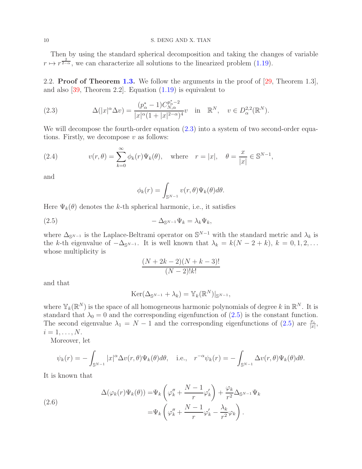Then by using the standard spherical decomposition and taking the changes of variable  $r \mapsto r^{\frac{2}{2-\alpha}}$ , we can characterize all solutions to the linearized problem [\(1.19\)](#page-5-0).

2.2. Proof of Theorem [1.3.](#page-5-1) We follow the arguments in the proof of  $[29,$  Theorem 1.3], and also [\[39,](#page-22-15) Theorem 2.2]. Equation [\(1.19\)](#page-5-0) is equivalent to

<span id="page-9-0"></span>(2.3) 
$$
\Delta(|x|^{\alpha}\Delta v) = \frac{(p_{\alpha}^* - 1)C_{N,\alpha}^{p_{\alpha}^* - 2}}{|x|^{\alpha}(1 + |x|^{2 - \alpha})^4}v \text{ in } \mathbb{R}^N, v \in D_{\alpha}^{2,2}(\mathbb{R}^N).
$$

We will decompose the fourth-order equation  $(2.3)$  into a system of two second-order equations. Firstly, we decompose  $v$  as follows:

(2.4) 
$$
v(r,\theta) = \sum_{k=0}^{\infty} \phi_k(r) \Psi_k(\theta), \text{ where } r = |x|, \quad \theta = \frac{x}{|x|} \in \mathbb{S}^{N-1},
$$

and

<span id="page-9-1"></span>
$$
\phi_k(r) = \int_{\mathbb{S}^{N-1}} v(r,\theta) \Psi_k(\theta) d\theta.
$$

Here  $\Psi_k(\theta)$  denotes the k-th spherical harmonic, i.e., it satisfies

$$
(2.5) \t - \Delta_{\mathbb{S}^{N-1}} \Psi_k = \lambda_k \Psi_k,
$$

where  $\Delta_{\mathbb{S}^{N-1}}$  is the Laplace-Beltrami operator on  $\mathbb{S}^{N-1}$  with the standard metric and  $\lambda_k$  is the k-th eigenvalue of  $-\Delta_{\mathbb{S}^{N-1}}$ . It is well known that  $\lambda_k = k(N-2+k)$ ,  $k = 0, 1, 2, \ldots$ whose multiplicity is

$$
\frac{(N+2k-2)(N+k-3)!}{(N-2)!k!}
$$

and that

$$
\mathrm{Ker}(\Delta_{\mathbb{S}^{N-1}}+\lambda_k)=\mathbb{Y}_k(\mathbb{R}^N)|_{\mathbb{S}^{N-1}},
$$

where  $\mathbb{Y}_k(\mathbb{R}^N)$  is the space of all homogeneous harmonic polynomials of degree k in  $\mathbb{R}^N$ . It is standard that  $\lambda_0 = 0$  and the corresponding eigenfunction of  $(2.5)$  is the constant function. The second eigenvalue  $\lambda_1 = N - 1$  and the corresponding eigenfunctions of [\(2.5\)](#page-9-1) are  $\frac{x_i}{|x|}$ ,  $i=1,\ldots,N.$ 

Moreover, let

$$
\psi_k(r) = -\int_{\mathbb{S}^{N-1}} |x|^\alpha \Delta v(r,\theta) \Psi_k(\theta) d\theta, \quad \text{i.e.,} \quad r^{-\alpha} \psi_k(r) = -\int_{\mathbb{S}^{N-1}} \Delta v(r,\theta) \Psi_k(\theta) d\theta.
$$

It is known that

(2.6)  
\n
$$
\Delta(\varphi_k(r)\Psi_k(\theta)) = \Psi_k \left(\varphi_k'' + \frac{N-1}{r}\varphi_k'\right) + \frac{\varphi_k}{r^2} \Delta_{\mathbb{S}^{N-1}} \Psi_k
$$
\n
$$
= \Psi_k \left(\varphi_k'' + \frac{N-1}{r}\varphi_k' - \frac{\lambda_k}{r^2}\varphi_k\right).
$$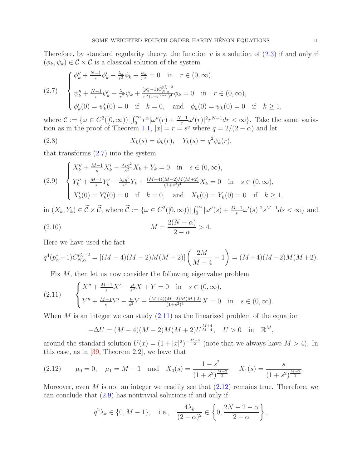Therefore, by standard regularity theory, the function  $v$  is a solution of  $(2.3)$  if and only if  $(\phi_k, \psi_k) \in \mathcal{C} \times \mathcal{C}$  is a classical solution of the system

<span id="page-10-0"></span>
$$
(2.7) \quad\n\begin{cases}\n\phi_k'' + \frac{N-1}{r}\phi_k' - \frac{\lambda_k}{r^2}\phi_k + \frac{\psi_k}{r^\alpha} = 0 & \text{in} \quad r \in (0, \infty), \\
\psi_k'' + \frac{N-1}{r}\psi_k' - \frac{\lambda_k}{r^2}\psi_k + \frac{(p_\alpha^* - 1)C_{N,\alpha}^{p^*}_{N,\alpha}}{r^\alpha(1 + r^{2-\alpha})^4}\phi_k = 0 & \text{in} \quad r \in (0, \infty), \\
\phi_k'(0) = \psi_k'(0) = 0 & \text{if} \quad k = 0, \quad \text{and} \quad \phi_k(0) = \psi_k(0) = 0 & \text{if} \quad k \ge 1,\n\end{cases}
$$

where  $\mathcal{C} := \{ \omega \in C^2([0,\infty)) | \int_0^\infty r^\alpha |\omega''(r) + \frac{N-1}{r} \omega'(r)|^2 r^{N-1} dr < \infty \}.$  Take the same varia-tion as in the proof of Theorem [1.1,](#page-4-1)  $|x| = r = s^q$  where  $q = 2/(2 - \alpha)$  and let

(2.8) 
$$
X_k(s) = \phi_k(r), \quad Y_k(s) = q^2 \psi_k(r),
$$

that transforms  $(2.7)$  into the system

<span id="page-10-3"></span>
$$
(2.9) \begin{cases} X_k'' + \frac{M-1}{s} X_k' - \frac{\lambda_k q^2}{s^2} X_k + Y_k = 0 & \text{in } s \in (0, \infty), \\ Y_k'' + \frac{M-1}{s} Y_k' - \frac{\lambda_k q^2}{s^2} Y_k + \frac{(M+4)(M-2)M(M+2)}{(1+s^2)^4} X_k = 0 & \text{in } s \in (0, \infty), \\ X_k'(0) = Y_k'(0) = 0 & \text{if } k = 0, \text{ and } X_k(0) = Y_k(0) = 0 & \text{if } k \ge 1, \end{cases}
$$

in  $(X_k, Y_k) \in \tilde{C} \times \tilde{C}$ , where  $\tilde{C} := \{ \omega \in C^2([0, \infty)) \mid \int_0^\infty |\omega''(s) + \frac{M-1}{s}\omega'(s)|^2 s^{M-1} ds < \infty \}$  and  $(2.10)$   $M =$  $2(N - \alpha)$  $2-\alpha$  $> 4$ .

Here we have used the fact

$$
q^{4}(p_{\alpha}^{*}-1)C_{N,\alpha}^{p_{\alpha}^{*}-2} = [(M-4)(M-2)M(M+2)]\left(\frac{2M}{M-4}-1\right) = (M+4)(M-2)M(M+2).
$$

<span id="page-10-1"></span>Fix M, then let us now consider the following eigenvalue problem

(2.11) 
$$
\begin{cases} X'' + \frac{M-1}{s}X' - \frac{\mu}{s^2}X + Y = 0 \text{ in } s \in (0, \infty), \\ Y'' + \frac{M-1}{s}Y' - \frac{\mu}{s^2}Y + \frac{(M+4)(M-2)M(M+2)}{(1+s^2)^4}X = 0 \text{ in } s \in (0, \infty). \end{cases}
$$

When  $M$  is an integer we can study  $(2.11)$  as the linearized problem of the equation

$$
-\Delta U = (M-4)(M-2)M(M+2)U^{\frac{M+4}{M-4}}, \quad U > 0 \quad \text{in} \quad \mathbb{R}^M,
$$

around the standard solution  $U(x) = (1+|x|^2)^{-\frac{M-4}{2}}$  (note that we always have  $M > 4$ ). In this case, as in [\[39,](#page-22-15) Theorem 2.2], we have that

<span id="page-10-2"></span>(2.12) 
$$
\mu_0 = 0;
$$
  $\mu_1 = M - 1$  and  $X_0(s) = \frac{1 - s^2}{(1 + s^2)^{\frac{M-2}{2}}};$   $X_1(s) = \frac{s}{(1 + s^2)^{\frac{M-2}{2}}}.$ 

Moreover, even M is not an integer we readily see that  $(2.12)$  remains true. Therefore, we can conclude that  $(2.9)$  has nontrivial solutions if and only if

$$
q^2 \lambda_k \in \{0, M - 1\}, \quad \text{i.e.,} \quad \frac{4\lambda_k}{(2 - \alpha)^2} \in \left\{0, \frac{2N - 2 - \alpha}{2 - \alpha}\right\},\
$$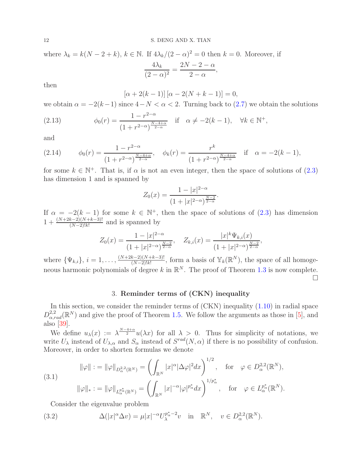where  $\lambda_k = k(N-2+k)$ ,  $k \in \mathbb{N}$ . If  $4\lambda_k/(2-\alpha)^2 = 0$  then  $k = 0$ . Moreover, if  $4\lambda_k$  $2N-2-\alpha$ ,

$$
\frac{1}{(2-\alpha)^2} = \frac{2+\alpha}{2-\alpha}
$$

then

$$
[\alpha + 2(k - 1)] [\alpha - 2(N + k - 1)] = 0,
$$

we obtain  $\alpha = -2(k-1)$  since  $4-N < \alpha < 2$ . Turning back to [\(2.7\)](#page-10-0) we obtain the solutions

(2.13) 
$$
\phi_0(r) = \frac{1 - r^{2-\alpha}}{(1 + r^{2-\alpha})^{\frac{N-4+\alpha}{2-\alpha}}} \quad \text{if} \quad \alpha \neq -2(k-1), \quad \forall k \in \mathbb{N}^+,
$$

and

(2.14) 
$$
\phi_0(r) = \frac{1 - r^{2-\alpha}}{(1 + r^{2-\alpha})^{\frac{N-4+\alpha}{2-\alpha}}}, \quad \phi_k(r) = \frac{r^k}{(1 + r^{2-\alpha})^{\frac{N-4+\alpha}{2-\alpha}}} \quad \text{if} \quad \alpha = -2(k-1),
$$

for some  $k \in \mathbb{N}^+$ . That is, if  $\alpha$  is not an even integer, then the space of solutions of  $(2.3)$ has dimension 1 and is spanned by

$$
Z_0(x) = \frac{1 - |x|^{2-\alpha}}{(1 + |x|^{2-\alpha})^{\frac{N-2}{2-\alpha}}}
$$

.

If  $\alpha = -2(k-1)$  for some  $k \in \mathbb{N}^+$ , then the space of solutions of  $(2.3)$  has dimension  $1 + \frac{(N+2k-2)(N+k-3)!}{(N-2)!k!}$  and is spanned by

$$
Z_0(x) = \frac{1 - |x|^{2-\alpha}}{(1 + |x|^{2-\alpha})^{\frac{N-2}{2-\alpha}}}, \quad Z_{k,i}(x) = \frac{|x|^k \Psi_{k,i}(x)}{(1 + |x|^{2-\alpha})^{\frac{N-2}{2-\alpha}}},
$$

where  $\{\Psi_{k,i}\}, i=1,\ldots,\frac{(N+2k-2)(N+k-3)!}{(N-2)!k!}$  $\frac{(N-2)(N+k-3)!}{(N-2)!k!}$ , form a basis of  $\mathbb{Y}_k(\mathbb{R}^N)$ , the space of all homogeneous harmonic polynomials of degree k in  $\mathbb{R}^N$ . The proof of Theorem [1.3](#page-5-1) is now complete. П

## 3. Reminder terms of (CKN) inequality

<span id="page-11-0"></span>In this section, we consider the reminder terms of  $(CKN)$  inequality  $(1.10)$  in radial space  $D_{\alpha,rad}^{2,2}(\mathbb{R}^N)$  and give the proof of Theorem [1.5.](#page-6-2) We follow the arguments as those in [\[5\]](#page-21-1), and also [\[39\]](#page-22-15).

We define  $u_{\lambda}(x) := \lambda^{\frac{N-4+\alpha}{2}} u(\lambda x)$  for all  $\lambda > 0$ . Thus for simplicity of notations, we write  $U_{\lambda}$  instead of  $U_{\lambda,\alpha}$  and  $S_{\alpha}$  instead of  $S^{rad}(N,\alpha)$  if there is no possibility of confusion. Moreover, in order to shorten formulas we denote

<span id="page-11-2"></span>
$$
\|\varphi\| := \|\varphi\|_{D^{2,2}_{\alpha}(\mathbb{R}^N)} = \left(\int_{\mathbb{R}^N} |x|^{\alpha} |\Delta \varphi|^2 dx\right)^{1/2}, \text{ for } \varphi \in D^{2,2}_{\alpha}(\mathbb{R}^N),
$$
\n
$$
\|\varphi\|_{*} := \|\varphi\|_{L^{p^*}_{\alpha}(\mathbb{R}^N)} = \left(\int_{\mathbb{R}^N} |x|^{-\alpha} |\varphi|^{p^*_{\alpha}} dx\right)^{1/p^*_{\alpha}}, \text{ for } \varphi \in L^{p^*_{\alpha}}_{\alpha}(\mathbb{R}^N).
$$

<span id="page-11-1"></span>Consider the eigenvalue problem

(3.2) 
$$
\Delta(|x|^{\alpha}\Delta v) = \mu|x|^{-\alpha}U_{\lambda}^{p_{\alpha}^{*}-2}v \text{ in } \mathbb{R}^{N}, v \in D_{\alpha}^{2,2}(\mathbb{R}^{N}).
$$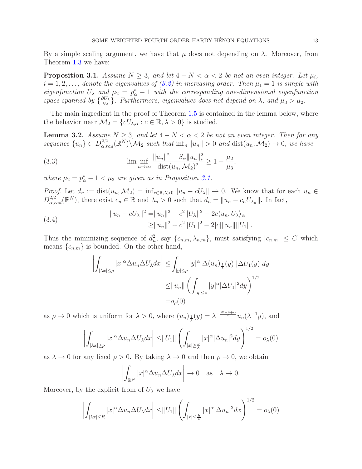By a simple scaling argument, we have that  $\mu$  does not depending on  $\lambda$ . Moreover, from Theorem [1.3](#page-5-1) we have:

<span id="page-12-0"></span>**Proposition 3.1.** Assume  $N \geq 3$ , and let  $4 - N < \alpha < 2$  be not an even integer. Let  $\mu_i$ ,  $i = 1, 2, \ldots$ , denote the eigenvalues of [\(3.2\)](#page-11-1) in increasing order. Then  $\mu_1 = 1$  is simple with eigenfunction  $U_{\lambda}$  and  $\mu_2 = p_{\alpha}^* - 1$  with the corresponding one-dimensional eigenfunction space spanned by  $\{\frac{\partial U_\lambda}{\partial \lambda}\}$ . Furthermore, eigenvalues does not depend on  $\lambda$ , and  $\mu_3 > \mu_2$ .

The main ingredient in the proof of Theorem [1.5](#page-6-2) is contained in the lemma below, where the behavior near  $\mathcal{M}_2 = \{cU_{\lambda,\alpha}: c \in \mathbb{R}, \lambda > 0\}$  is studied.

<span id="page-12-3"></span>**Lemma 3.2.** Assume  $N \geq 3$ , and let  $4 - N < \alpha < 2$  be not an even integer. Then for any sequence  ${u_n} \subset D_{\alpha, rad}^{2,2}(\mathbb{R}^N) \setminus \mathcal{M}_2$  such that  $\inf_n ||u_n|| > 0$  and  $\text{dist}(u_n, \mathcal{M}_2) \to 0$ , we have

<span id="page-12-2"></span>(3.3) 
$$
\liminf_{n \to \infty} \frac{\|u_n\|^2 - S_\alpha \|u_n\|_*^2}{\text{dist}(u_n, \mathcal{M}_2)^2} \ge 1 - \frac{\mu_2}{\mu_3},
$$

where  $\mu_2 = p^*_{\alpha} - 1 < \mu_3$  are given as in Proposition [3.1.](#page-12-0)

*Proof.* Let  $d_n := \text{dist}(u_n, \mathcal{M}_2) = \inf_{c \in \mathbb{R}, \lambda > 0} ||u_n - cU_\lambda|| \to 0$ . We know that for each  $u_n \in$  $D_{\alpha,rad}^{2,2}(\mathbb{R}^N)$ , there exist  $c_n \in \mathbb{R}$  and  $\lambda_n > 0$  such that  $d_n = ||u_n - c_n U_{\lambda_n}||$ . In fact,

<span id="page-12-1"></span>(3.4) 
$$
||u_n - cU_{\lambda}||^2 = ||u_n||^2 + c^2 ||U_{\lambda}||^2 - 2c\langle u_n, U_{\lambda} \rangle_{\alpha} \ge ||u_n||^2 + c^2 ||U_1||^2 - 2|c|| ||u_n|| ||U_1||.
$$

Thus the minimizing sequence of  $d_n^2$ , say  $\{c_{n,m}, \lambda_{n,m}\}\$ , must satisfying  $|c_{n,m}| \leq C$  which means  $\{c_{n,m}\}\$ is bounded. On the other hand,

$$
\left| \int_{|\lambda x| \le \rho} |x|^{\alpha} \Delta u_n \Delta U_{\lambda} dx \right| \le \int_{|y| \le \rho} |y|^{\alpha} |\Delta(u_n)_{\frac{1}{\lambda}}(y)| |\Delta U_1(y)| dy
$$
  

$$
\le ||u_n|| \left( \int_{|y| \le \rho} |y|^{\alpha} |\Delta U_1|^2 dy \right)^{1/2}
$$
  

$$
= o_{\rho}(0)
$$

as  $\rho \to 0$  which is uniform for  $\lambda > 0$ , where  $(u_n)_{\frac{1}{\lambda}}(y) = \lambda^{-\frac{N-4+\alpha}{2}} u_n(\lambda^{-1}y)$ , and

$$
\left| \int_{|\lambda x| \ge \rho} |x|^{\alpha} \Delta u_n \Delta U_{\lambda} dx \right| \le ||U_1|| \left( \int_{|x| \ge \frac{\rho}{\lambda}} |x|^{\alpha} |\Delta u_n|^2 dy \right)^{1/2} = o_{\lambda}(0)
$$

as  $\lambda \to 0$  for any fixed  $\rho > 0$ . By taking  $\lambda \to 0$  and then  $\rho \to 0$ , we obtain

$$
\left| \int_{\mathbb{R}^N} |x|^\alpha \Delta u_n \Delta U_\lambda dx \right| \to 0 \quad \text{as} \quad \lambda \to 0.
$$

Moreover, by the explicit from of  $U_{\lambda}$  we have

$$
\left| \int_{|\lambda x| \le R} |x|^{\alpha} \Delta u_n \Delta U_{\lambda} dx \right| \le ||U_1|| \left( \int_{|x| \le \frac{R}{\lambda}} |x|^{\alpha} |\Delta u_n|^2 dx \right)^{1/2} = o_{\lambda}(0)
$$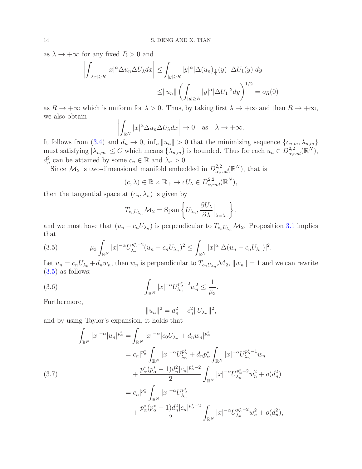as  $\lambda \to +\infty$  for any fixed  $R > 0$  and

$$
\left| \int_{|\lambda x| \ge R} |x|^{\alpha} \Delta u_n \Delta U_{\lambda} dx \right| \le \int_{|y| \ge R} |y|^{\alpha} |\Delta(u_n)_{\frac{1}{\lambda}}(y)| |\Delta U_1(y)| dy
$$
  

$$
\le ||u_n|| \left( \int_{|y| \ge R} |y|^{\alpha} |\Delta U_1|^2 dy \right)^{1/2} = o_R(0)
$$

as  $R \to +\infty$  which is uniform for  $\lambda > 0$ . Thus, by taking first  $\lambda \to +\infty$  and then  $R \to +\infty$ , we also obtain

$$
\left| \int_{\mathbb{R}^N} |x|^\alpha \Delta u_n \Delta U_\lambda dx \right| \to 0 \quad \text{as} \quad \lambda \to +\infty.
$$

It follows from [\(3.4\)](#page-12-1) and  $d_n \to 0$ ,  $\inf_n ||u_n|| > 0$  that the minimizing sequence  $\{c_{n,m}, \lambda_{n,m}\}$ must satisfying  $|\lambda_{n,m}| \leq C$  which means  $\{\lambda_{n,m}\}$  is bounded. Thus for each  $u_n \in D^{2,2}_{\alpha,rad}(\mathbb{R}^N)$ ,  $d_n^2$  can be attained by some  $c_n \in \mathbb{R}$  and  $\lambda_n > 0$ .

Since  $\mathcal{M}_2$  is two-dimensional manifold embedded in  $D^{2,2}_{\alpha,rad}(\mathbb{R}^N)$ , that is

$$
(c, \lambda) \in \mathbb{R} \times \mathbb{R}_{+} \to cU_{\lambda} \in D_{\alpha, rad}^{2,2}(\mathbb{R}^{N}),
$$

then the tangential space at  $(c_n, \lambda_n)$  is given by

$$
T_{c_nU_{\lambda_n}}\mathcal{M}_2 = \text{Span}\left\{U_{\lambda_n}, \frac{\partial U_{\lambda}}{\partial \lambda}\Big|_{\lambda=\lambda_n}\right\},\,
$$

and we must have that  $(u_n - c_n U_{\lambda_n})$  is perpendicular to  $T_{c_n U_{\lambda_n}} \mathcal{M}_2$ . Proposition [3.1](#page-12-0) implies that

<span id="page-13-0"></span>(3.5) 
$$
\mu_3 \int_{\mathbb{R}^N} |x|^{-\alpha} U_{\lambda_n}^{p_{\alpha}^* - 2} (u_n - c_n U_{\lambda_n})^2 \leq \int_{\mathbb{R}^N} |x|^{\alpha} |\Delta (u_n - c_n U_{\lambda_n})|^2.
$$

Let  $u_n = c_n U_{\lambda_n} + d_n w_n$ , then  $w_n$  is perpendicular to  $T_{c_n U_{\lambda_n}} \mathcal{M}_2$ ,  $||w_n|| = 1$  and we can rewrite  $(3.5)$  as follows:

(3.6) 
$$
\int_{\mathbb{R}^N} |x|^{-\alpha} U_{\lambda_n}^{p_{\alpha}^* - 2} w_n^2 \le \frac{1}{\mu_3}.
$$

Furthermore,

<span id="page-13-1"></span>
$$
||u_n||^2 = d_n^2 + c_n^2 ||U_{\lambda_n}||^2,
$$

and by using Taylor's expansion, it holds that

<span id="page-13-2"></span>
$$
\int_{\mathbb{R}^N} |x|^{-\alpha} |u_n|^{p^*_{\alpha}} = \int_{\mathbb{R}^N} |x|^{-\alpha} |c_0 U_{\lambda_n} + d_n w_n|^{p^*_{\alpha}}
$$
\n
$$
= |c_n|^{p^*_{\alpha}} \int_{\mathbb{R}^N} |x|^{-\alpha} U_{\lambda_n}^{p^*_{\alpha}} + d_n p^*_{\alpha} \int_{\mathbb{R}^N} |x|^{-\alpha} U_{\lambda_n}^{p^*_{\alpha}-1} w_n
$$
\n
$$
+ \frac{p^*_{\alpha}(p^*_{\alpha}-1) d_n^2 |c_n|^{p^*_{\alpha}-2}}{2} \int_{\mathbb{R}^N} |x|^{-\alpha} U_{\lambda_n}^{p^*_{\alpha}-2} w_n^2 + o(d_n^2)
$$
\n
$$
= |c_n|^{p^*_{\alpha}} \int_{\mathbb{R}^N} |x|^{-\alpha} U_{\lambda_n}^{p^*_{\alpha}}
$$
\n
$$
+ \frac{p^*_{\alpha}(p^*_{\alpha}-1) d_n^2 |c_n|^{p^*_{\alpha}-2}}{2} \int_{\mathbb{R}^N} |x|^{-\alpha} U_{\lambda_n}^{p^*_{\alpha}-2} w_n^2 + o(d_n^2),
$$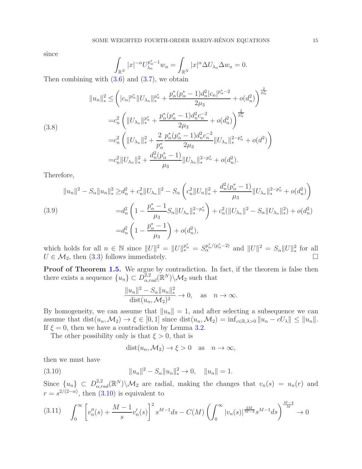since

$$
\int_{\mathbb{R}^N} |x|^{-\alpha} U_{\lambda_n}^{p_{\alpha}^* - 1} w_n = \int_{\mathbb{R}^N} |x|^{\alpha} \Delta U_{\lambda_n} \Delta w_n = 0.
$$

Then combining with  $(3.6)$  and  $(3.7)$ , we obtain

$$
||u_{n}||_{*}^{2} \leq \left( |c_{n}|^{p_{\alpha}^{*}} ||U_{\lambda_{n}}||_{*}^{p_{\alpha}^{*}} + \frac{p_{\alpha}^{*}(p_{\alpha}^{*}-1)d_{n}^{2}|c_{n}|^{p_{\alpha}^{*}-2}}{2\mu_{3}} + o(d_{n}^{2}) \right)^{\frac{2}{p_{\alpha}^{*}}}
$$
  
\n
$$
= c_{n}^{2} \left( ||U_{\lambda_{n}}||_{*}^{p_{\alpha}^{*}} + \frac{p_{\alpha}^{*}(p_{\alpha}^{*}-1)d_{n}^{2}c_{n}^{-2}}{2\mu_{3}} + o(d_{n}^{2}) \right)^{\frac{2}{p_{\alpha}^{*}}}
$$
  
\n
$$
= c_{n}^{2} \left( ||U_{\lambda_{n}}||_{*}^{2} + \frac{2}{p_{\alpha}^{*}} \frac{p_{\alpha}^{*}(p_{\alpha}^{*}-1)d_{n}^{2}c_{n}^{-2}}{2\mu_{3}} ||U_{\lambda_{n}}||_{*}^{2-p_{\alpha}^{*}} + o(d^{2}) \right)
$$
  
\n
$$
= c_{n}^{2} ||U_{\lambda_{n}}||_{*}^{2} + \frac{d_{n}^{2}(p_{\alpha}^{*}-1)}{\mu_{3}} ||U_{\lambda_{n}}||_{*}^{2-p_{\alpha}^{*}} + o(d_{n}^{2}).
$$

Therefore,

(3.9)  
\n
$$
||u_n||^2 - S_\alpha ||u_n||_*^2 \ge d_n^2 + c_n^2 ||U_{\lambda_n}||^2 - S_\alpha \left( c_n^2 ||U_n||_*^2 + \frac{d_n^2 (p_\alpha^* - 1)}{\mu_3} ||U_{\lambda_n}||_*^{2 - p_\alpha^*} + o(d_n^2) \right)
$$
\n
$$
= d_n^2 \left( 1 - \frac{p_\alpha^* - 1}{\mu_3} S_\alpha ||U_{\lambda_n}||_*^{2 - p_\alpha^*} \right) + c_n^2 (||U_{\lambda_n}||^2 - S_\alpha ||U_{\lambda_n}||_*^2) + o(d_n^2)
$$
\n
$$
= d_n^2 \left( 1 - \frac{p_\alpha^* - 1}{\mu_3} \right) + o(d_n^2),
$$

which holds for all  $n \in \mathbb{N}$  since  $||U||^2 = ||U||_*^{p^*_{\alpha}} = S_{\alpha}^{p^*_{\alpha}/(p^*_{\alpha}-2)}$  and  $||U||^2 = S_{\alpha}||U||_*^2$  for all  $U \in \mathcal{M}_2$ , then [\(3.3\)](#page-12-2) follows immediately.

**Proof of Theorem [1.5.](#page-6-2)** We argue by contradiction. In fact, if the theorem is false then there exists a sequence  $\{u_n\} \subset D^{2,2}_{\alpha,rad}(\mathbb{R}^N) \backslash \mathcal{M}_2$  such that

$$
\frac{||u_n||^2 - S_\alpha ||u_n||_*^2}{\text{dist}(u_n, \mathcal{M}_2)^2} \to 0, \quad \text{as} \quad n \to \infty.
$$

By homogeneity, we can assume that  $||u_n|| = 1$ , and after selecting a subsequence we can assume that dist $(u_n,\mathcal{M}_2) \to \xi \in [0,1]$  since dist $(u_n,\mathcal{M}_2) = \inf_{c \in \mathbb{R},\lambda>0} ||u_n - cU_\lambda|| \leq ||u_n||$ . If  $\xi = 0$ , then we have a contradiction by Lemma [3.2.](#page-12-3)

The other possibility only is that  $\xi > 0$ , that is

<span id="page-14-0"></span>
$$
dist(u_n, \mathcal{M}_2) \to \xi > 0 \quad \text{as} \quad n \to \infty,
$$

then we must have

(3.10) 
$$
||u_n||^2 - S_\alpha ||u_n||_*^2 \to 0, \quad ||u_n|| = 1.
$$

Since  $\{u_n\} \subset D^{2,2}_{\alpha,rad}(\mathbb{R}^N)\backslash \mathcal{M}_2$  are radial, making the changes that  $v_n(s) = u_n(r)$  and  $r = s^{2/(2-\alpha)}$ , then  $(3.10)$  is equivalent to

<span id="page-14-1"></span>
$$
(3.11) \quad \int_0^\infty \left[ v_n''(s) + \frac{M-1}{s} v_n'(s) \right]^2 s^{M-1} ds - C(M) \left( \int_0^\infty |v_n(s)|^{\frac{2M}{M-4}} s^{M-1} ds \right)^{\frac{M-4}{M}} \to 0
$$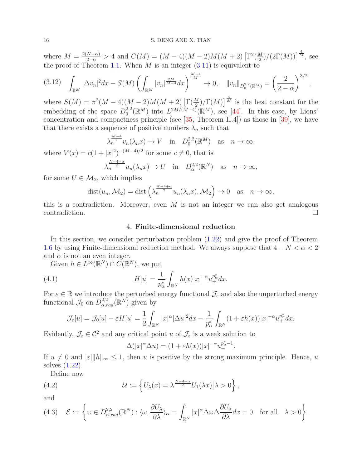where  $M = \frac{2(N-\alpha)}{2-\alpha} > 4$  and  $C(M) = (M-4)(M-2)M(M+2) \left[ \Gamma^2(\frac{M}{2}) \right]$  $\frac{M}{2}$ )/(2 $\Gamma(M)$ )] $\frac{4}{M}$ , see the proof of Theorem [1.1.](#page-4-1) When  $M$  is an integer  $(3.11)$  is equivalent to

$$
(3.12)\quad \int_{\mathbb{R}^M} |\Delta v_n|^2 dx - S(M) \left( \int_{\mathbb{R}^M} |v_n|^{\frac{2M}{M-4}} dx \right)^{\frac{M-4}{M}} \to 0, \quad ||v_n||_{D_0^{2,2}(\mathbb{R}^M)} = \left( \frac{2}{2-\alpha} \right)^{3/2},
$$

where  $S(M) = \pi^2(M-4)(M-2)M(M+2)\left[\Gamma(\frac{M}{2})/\Gamma(M)\right]^{\frac{4}{M}}$  is the best constant for the embedding of the space  $D_0^{2,2}$  $L^{2,2}(\mathbb{R}^M)$  into  $L^{2M/(M-4)}(\mathbb{R}^M)$ , see [\[44\]](#page-22-21). In this case, by Lions' concentration and compactness principle (see  $[35,$  Theorem II.4]) as those in  $[39]$ , we have that there exists a sequence of positive numbers  $\lambda_n$  such that

$$
\lambda_n^{\frac{M-4}{2}} v_n(\lambda_n x) \to V \quad \text{in} \quad D_0^{2,2}(\mathbb{R}^M) \quad \text{as} \quad n \to \infty,
$$

where  $V(x) = c(1+|x|^2)^{-(M-4)/2}$  for some  $c \neq 0$ , that is

$$
\lambda_n^{\frac{N-4+\alpha}{2}} u_n(\lambda_n x) \to U \quad \text{in} \quad D_\alpha^{2,2}(\mathbb{R}^N) \quad \text{as} \quad n \to \infty,
$$

for some  $U \in \mathcal{M}_2$ , which implies

$$
dist(u_n, \mathcal{M}_2) = dist\left(\lambda_n^{\frac{N-4+\alpha}{2}} u_n(\lambda_n x), \mathcal{M}_2\right) \to 0 \quad \text{as} \quad n \to \infty,
$$

<span id="page-15-0"></span>this is a contradiction. Moreover, even  $M$  is not an integer we can also get analogous  $\Box$ contradiction.

#### 4. Finite-dimensional reduction

In this section, we consider perturbation problem [\(1.22\)](#page-6-1) and give the proof of Theorem [1.6](#page-6-3) by using Finite-dimensional reduction method. We always suppose that  $4 - N < \alpha < 2$ and  $\alpha$  is not an even integer.

Given  $h \in L^{\infty}(\mathbb{R}^N) \cap C(\mathbb{R}^N)$ , we put

(4.1) 
$$
H[u] = \frac{1}{p_{\alpha}^*} \int_{\mathbb{R}^N} h(x)|x|^{-\alpha} u_+^{p_{\alpha}^*} dx.
$$

For  $\varepsilon \in \mathbb{R}$  we introduce the perturbed energy functional  $\mathcal{J}_{\varepsilon}$  and also the unperturbed energy functional  $\mathcal{J}_0$  on  $D^{2,2}_{\alpha,rad}(\mathbb{R}^N)$  given by

$$
\mathcal{J}_{\varepsilon}[u] = \mathcal{J}_{0}[u] - \varepsilon H[u] = \frac{1}{2} \int_{\mathbb{R}^N} |x|^{\alpha} |\Delta u|^2 dx - \frac{1}{p_{\alpha}^*} \int_{\mathbb{R}^N} (1 + \varepsilon h(x)) |x|^{-\alpha} u_{+}^{p_{\alpha}^*} dx.
$$

Evidently,  $\mathcal{J}_{\varepsilon} \in \mathcal{C}^2$  and any critical point u of  $\mathcal{J}_{\varepsilon}$  is a weak solution to

$$
\Delta(|x|^{\alpha}\Delta u) = (1 + \varepsilon h(x))|x|^{-\alpha}u_+^{p^*_{\alpha}-1}.
$$

If  $u \neq 0$  and  $|\varepsilon| \|h\|_{\infty} \leq 1$ , then u is positive by the strong maximum principle. Hence, u solves [\(1.22\)](#page-6-1).

Define now

(4.2) 
$$
\mathcal{U} := \left\{ U_{\lambda}(x) = \lambda^{\frac{N-4+\alpha}{2}} U_1(\lambda x) | \lambda > 0 \right\},
$$

and

$$
(4.3) \quad \mathcal{E} := \left\{ \omega \in D_{\alpha,rad}^{2,2}(\mathbb{R}^N) : \langle \omega, \frac{\partial U_\lambda}{\partial \lambda} \rangle_\alpha = \int_{\mathbb{R}^N} |x|^\alpha \Delta \omega \Delta \frac{\partial U_\lambda}{\partial \lambda} dx = 0 \quad \text{for all} \quad \lambda > 0 \right\}.
$$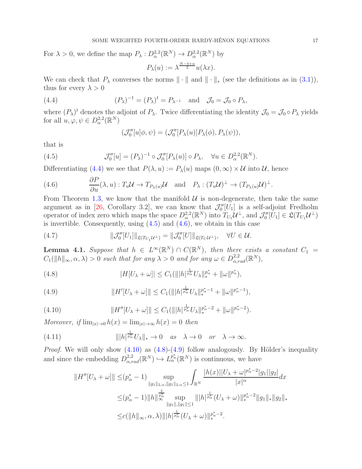For  $\lambda > 0$ , we define the map  $P_{\lambda}: D_{\alpha}^{2,2}(\mathbb{R}^N) \to D_{\alpha}^{2,2}(\mathbb{R}^N)$  by

$$
P_{\lambda}(u) := \lambda^{\frac{N-4+\alpha}{2}} u(\lambda x).
$$

We can check that  $P_\lambda$  converses the norms  $\|\cdot\|$  and  $\|\cdot\|_*$  (see the definitions as in [\(3.1\)](#page-11-2)), thus for every  $\lambda > 0$ 

(4.4) 
$$
(P_{\lambda})^{-1} = (P_{\lambda})^{t} = P_{\lambda^{-1}} \text{ and } \mathcal{J}_{0} = \mathcal{J}_{0} \circ P_{\lambda},
$$

where  $(P_\lambda)^t$  denotes the adjoint of  $P_\lambda$ . Twice differentiating the identity  $\mathcal{J}_0 = \mathcal{J}_0 \circ P_\lambda$  yields for all  $u, \varphi, \psi \in D^{2,2}_{\alpha}(\mathbb{R}^N)$ 

<span id="page-16-1"></span><span id="page-16-0"></span>
$$
(\mathcal{J}_0''[u]\phi,\psi) = (\mathcal{J}_0''[P_\lambda(u)]P_\lambda(\phi), P_\lambda(\psi)),
$$

that is

(4.5) 
$$
\mathcal{J}_0''[u] = (P_\lambda)^{-1} \circ \mathcal{J}_0''[P_\lambda(u)] \circ P_\lambda, \quad \forall u \in D_\alpha^{2,2}(\mathbb{R}^N).
$$

Differentiating [\(4.4\)](#page-16-0) we see that  $P(\lambda, u) := P_{\lambda}(u)$  maps  $(0, \infty) \times U$  into U, hence

<span id="page-16-2"></span>(4.6) 
$$
\frac{\partial P}{\partial u}(\lambda, u) : T_u \mathcal{U} \to T_{P_\lambda(u)} \mathcal{U} \text{ and } P_\lambda : (T_u \mathcal{U})^\perp \to (T_{P_\lambda(u)} \mathcal{U})^\perp.
$$

From Theorem [1.3,](#page-5-1) we know that the manifold  $\mathcal{U}$  is non-degenerate, then take the same argument as in [\[26,](#page-22-8) Corollary 3.2], we can know that  $\mathcal{J}_0''[U_1]$  is a self-adjoint Fredholm operator of index zero which maps the space  $D_{\alpha}^{2,2}(\mathbb{R}^N)$  into  $T_{U_1}\mathcal{U}^{\perp}$ , and  $\mathcal{J}_0''[U_1] \in \mathfrak{L}(T_{U_1}\mathcal{U}^{\perp})$ is invertible. Consequently, using  $(4.5)$  and  $(4.6)$ , we obtain in this case

<span id="page-16-7"></span>(4.7) 
$$
\|\mathcal{J}_0''[U_1]\|_{\mathfrak{L}(T_{U_1}U^\perp)} = \|\mathcal{J}_0''[U]\|_{\mathfrak{L}(T_UU^\perp)}, \quad \forall U \in \mathcal{U}.
$$

<span id="page-16-8"></span>**Lemma 4.1.** Suppose that  $h \in L^{\infty}(\mathbb{R}^N) \cap C(\mathbb{R}^N)$ , then there exists a constant  $C_1 =$  $C_1(||h||_{\infty}, \alpha, \lambda) > 0$  such that for any  $\lambda > 0$  and for any  $\omega \in D_{\alpha, rad}^{2,2}(\mathbb{R}^N)$ ,

<span id="page-16-4"></span>(4.8) 
$$
|H[U_{\lambda} + \omega]| \leq C_1(|||h|^{\frac{1}{p_{\alpha}^*}}U_{\lambda}||_{*}^{p_{\alpha}^*} + ||\omega||^{p_{\alpha}^*}),
$$

<span id="page-16-5"></span>(4.9) 
$$
||H'[U_{\lambda} + \omega]|| \leq C_1(||h|^{\frac{1}{p_{\alpha}^*}} U_{\lambda}||_{*}^{p_{\alpha}^*-1} + ||\omega||^{p_{\alpha}^*-1}),
$$

<span id="page-16-3"></span>(4.10) 
$$
||H''[U_{\lambda} + \omega]|| \leq C_1(||h|^{\frac{1}{p_{\alpha}^*}} U_{\lambda}||_{*}^{p_{\alpha}^*-2} + ||\omega||^{p_{\alpha}^*-2}).
$$

Moreover, if  $\lim_{|x| \to 0} h(x) = \lim_{|x| \to \infty} h(x) = 0$  then

(4.11) 
$$
\| |h|^{\frac{1}{p^*_{\alpha}}} U_{\lambda} \|_{*} \to 0 \quad as \quad \lambda \to 0 \quad or \quad \lambda \to \infty.
$$

*Proof.* We will only show  $(4.10)$  as  $(4.8)-(4.9)$  $(4.8)-(4.9)$  follow analogously. By Hölder's inequality and since the embedding  $D_{\alpha,rad}^{2,2}(\mathbb{R}^N) \hookrightarrow L_{\alpha}^{p^*_{\alpha}}(\mathbb{R}^N)$  is continuous, we have

<span id="page-16-6"></span>
$$
||H''[U_{\lambda} + \omega]|| \leq (p_{\alpha}^* - 1) \sup_{\|g_1\|_{2,\alpha},\|g_1\|_{2,\alpha} \leq 1} \int_{\mathbb{R}^N} \frac{|h(x)||U_{\lambda} + \omega|^{p_{\alpha}^* - 2}|g_1||g_2|}{|x|^{\alpha}} dx
$$
  

$$
\leq (p_{\alpha}^* - 1) ||h||_{\infty}^{\frac{2}{p_{\alpha}^*}} \sup_{\|g_1\|, \|g_1\| \leq 1} ||h|^{\frac{1}{p_{\alpha}^*}} (U_{\lambda} + \omega) ||_{*}^{p_{\alpha}^* - 2} ||g_1||_{*} ||g_2||_{*}
$$
  

$$
\leq c(||h||_{\infty}, \alpha, \lambda) |||h|^{\frac{1}{p_{\alpha}^*}} (U_{\lambda} + \omega) ||_{*}^{p_{\alpha}^* - 2}.
$$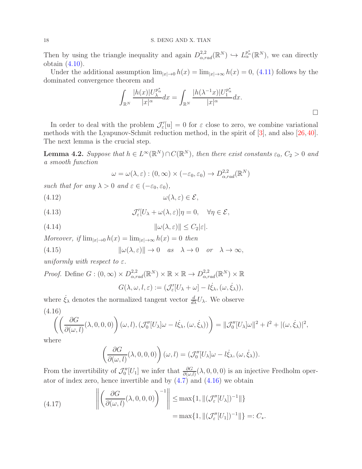Then by using the triangle inequality and again  $D^{2,2}_{\alpha,rad}(\mathbb{R}^N) \hookrightarrow L^{p^*_{\alpha}}_{\alpha}(\mathbb{R}^N)$ , we can directly obtain [\(4.10\)](#page-16-3).

Under the additional assumption  $\lim_{|x|\to 0} h(x) = \lim_{|x|\to \infty} h(x) = 0$ , [\(4.11\)](#page-16-6) follows by the dominated convergence theorem and

$$
\int_{\mathbb{R}^N} \frac{|h(x)| U_{\lambda}^{p^*_{\alpha}}}{|x|^{\alpha}} dx = \int_{\mathbb{R}^N} \frac{|h(\lambda^{-1}x)| U_1^{p^*_{\alpha}}}{|x|^{\alpha}} dx.
$$

In order to deal with the problem  $\mathcal{J}'_{\varepsilon}[u] = 0$  for  $\varepsilon$  close to zero, we combine variational methods with the Lyapunov-Schmit reduction method, in the spirit of [\[3\]](#page-21-2), and also [\[26,](#page-22-8)[40\]](#page-22-7). The next lemma is the crucial step.

<span id="page-17-6"></span>**Lemma 4.2.** Suppose that  $h \in L^{\infty}(\mathbb{R}^N) \cap C(\mathbb{R}^N)$ , then there exist constants  $\varepsilon_0$ ,  $C_2 > 0$  and a smooth function

<span id="page-17-4"></span><span id="page-17-2"></span><span id="page-17-1"></span>
$$
\omega = \omega(\lambda, \varepsilon) : (0, \infty) \times (-\varepsilon_0, \varepsilon_0) \to D_{\alpha, rad}^{2,2}(\mathbb{R}^N)
$$

such that for any  $\lambda > 0$  and  $\varepsilon \in (-\varepsilon_0, \varepsilon_0)$ ,

(4.12)  $\omega(\lambda, \varepsilon) \in \mathcal{E},$ 

(4.13) 
$$
\mathcal{J}'_{\varepsilon}[U_{\lambda} + \omega(\lambda, \varepsilon)]\eta = 0, \quad \forall \eta \in \mathcal{E},
$$

(4.14) 
$$
\|\omega(\lambda,\varepsilon)\| \leq C_2 |\varepsilon|.
$$

Moreover, if  $\lim_{|x| \to 0} h(x) = \lim_{|x| \to \infty} h(x) = 0$  then

<span id="page-17-5"></span>(4.15) 
$$
\|\omega(\lambda,\varepsilon)\| \to 0 \quad as \quad \lambda \to 0 \quad or \quad \lambda \to \infty,
$$

uniformly with respect to  $\varepsilon$ .

*Proof.* Define  $G: (0, \infty) \times D_{\alpha, rad}^{2,2}(\mathbb{R}^N) \times \mathbb{R} \times \mathbb{R} \to D_{\alpha, rad}^{2,2}(\mathbb{R}^N) \times \mathbb{R}$  $G(\lambda, \omega, l, \varepsilon) := (\mathcal{J}_{\varepsilon}'[U_{\lambda} + \omega] - l\dot{\xi}_{\lambda}, (\omega, \dot{\xi}_{\lambda})),$ 

where  $\dot{\xi}_{\lambda}$  denotes the normalized tangent vector  $\frac{d}{d\lambda}U_{\lambda}$ . We observe (4.16)

<span id="page-17-0"></span>
$$
\left(\left(\frac{\partial G}{\partial(\omega,l)}(\lambda,0,0,0)\right)(\omega,l),(\mathcal{J}_0''[U_\lambda]\omega-l\dot{\xi}_\lambda,(\omega,\dot{\xi}_\lambda))\right)=\|\mathcal{J}_0''[U_\lambda]\omega\|^2+l^2+|(\omega,\dot{\xi}_\lambda)|^2,
$$

where

$$
\left(\frac{\partial G}{\partial(\omega,l)}(\lambda,0,0,0)\right)(\omega,l)=(\mathcal{J}_0''[U_\lambda]\omega-l\dot{\xi}_\lambda,(\omega,\dot{\xi}_\lambda)).
$$

From the invertibility of  $\mathcal{J}_0''[U_1]$  we infer that  $\frac{\partial G}{\partial(\omega,l)}(\lambda,0,0,0)$  is an injective Fredholm operator of index zero, hence invertible and by  $(4.7)$  and  $(4.16)$  we obtain

<span id="page-17-3"></span>(4.17) 
$$
\left\| \left( \frac{\partial G}{\partial(\omega, l)}(\lambda, 0, 0, 0) \right)^{-1} \right\| \le \max\{1, \|(\mathcal{J}_{\varepsilon}''[U_{\lambda}])^{-1}\| \} = \max\{1, \|(\mathcal{J}_{\varepsilon}''[U_{1}])^{-1}\| \} =: C_{*}.
$$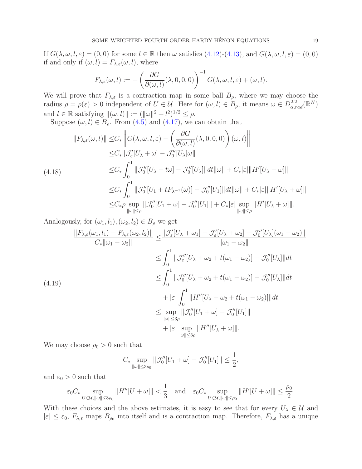If  $G(\lambda, \omega, l, \varepsilon) = (0, 0)$  for some  $l \in \mathbb{R}$  then  $\omega$  satisfies [\(4.12\)](#page-17-1)-[\(4.13\)](#page-17-2), and  $G(\lambda, \omega, l, \varepsilon) = (0, 0)$ if and only if  $(\omega, l) = F_{\lambda, \varepsilon}(\omega, l)$ , where

$$
F_{\lambda,\varepsilon}(\omega,l) := -\left(\frac{\partial G}{\partial(\omega,l)}(\lambda,0,0,0)\right)^{-1} G(\lambda,\omega,l,\varepsilon) + (\omega,l).
$$

We will prove that  $F_{\lambda,\varepsilon}$  is a contraction map in some ball  $B_{\rho}$ , where we may choose the radius  $\rho = \rho(\varepsilon) > 0$  independent of  $U \in \mathcal{U}$ . Here for  $(\omega, l) \in B_\rho$ , it means  $\omega \in D^{2,2}_{\alpha, rad}(\mathbb{R}^N)$ and  $l \in \mathbb{R}$  satisfying  $\|(\omega, l)\| := (\|\omega\|^2 + l^2)^{1/2} \le \rho$ .

Suppose  $(\omega, l) \in B_\rho$ . From [\(4.5\)](#page-16-1) and [\(4.17\)](#page-17-3), we can obtain that

<span id="page-18-0"></span>
$$
||F_{\lambda,\varepsilon}(\omega,l)|| \leq C_* \left||G(\lambda,\omega,l,\varepsilon) - \left(\frac{\partial G}{\partial(\omega,l)}(\lambda,0,0,0)\right)(\omega,l)\right||
$$
  
\n
$$
\leq C_* ||\mathcal{J}_{\varepsilon}'[U_{\lambda} + \omega] - \mathcal{J}_{0}''[U_{\lambda}]\omega||
$$
  
\n(4.18)  
\n
$$
\leq C_* \int_0^1 ||\mathcal{J}_{0}''[U_{\lambda} + t\omega] - \mathcal{J}_{0}''[U_{\lambda}]||dt||\omega|| + C_*|\varepsilon|||H'[U_{\lambda} + \omega]||
$$
  
\n
$$
\leq C_* \int_0^1 ||\mathcal{J}_{0}''[U_1 + tP_{\lambda^{-1}}(\omega)] - \mathcal{J}_{0}''[U_1]||dt||\omega|| + C_*|\varepsilon|||H'[U_{\lambda} + \omega]||
$$
  
\n
$$
\leq C_* \rho \sup_{||\omega||\leq \rho} ||\mathcal{J}_{0}''[U_1 + \omega] - \mathcal{J}_{0}''[U_1]|| + C_*|\varepsilon| \sup_{||\omega||\leq \rho} ||H'[U_{\lambda} + \omega]||.
$$

Analogously, for  $(\omega_1, l_1), (\omega_2, l_2) \in B_\rho$  we get

$$
\frac{\|F_{\lambda,\varepsilon}(\omega_1,l_1) - F_{\lambda,\varepsilon}(\omega_2,l_2)\|}{C_*\|\omega_1 - \omega_2\|} \le \frac{\|\mathcal{J}_{\varepsilon}'[U_{\lambda} + \omega_1] - \mathcal{J}_{\varepsilon}'[U_{\lambda} + \omega_2] - \mathcal{J}_0''[U_{\lambda}](\omega_1 - \omega_2)\|}{\|\omega_1 - \omega_2\|}
$$
  
\n
$$
\le \int_0^1 \|\mathcal{J}_{\varepsilon}''[U_{\lambda} + \omega_2 + t(\omega_1 - \omega_2)] - \mathcal{J}_0''[U_{\lambda}]\|dt
$$
  
\n
$$
\le \int_0^1 \|\mathcal{J}_0''[U_{\lambda} + \omega_2 + t(\omega_1 - \omega_2)] - \mathcal{J}_0''[U_{\lambda}]\|dt
$$
  
\n
$$
+ |\varepsilon| \int_0^1 \|H''[U_{\lambda} + \omega_2 + t(\omega_1 - \omega_2)]\|dt
$$
  
\n
$$
\le \sup_{\|\omega\| \le 3\rho} \|\mathcal{J}_0''[U_1 + \omega] - \mathcal{J}_0''[U_1]\|
$$
  
\n
$$
+ |\varepsilon| \sup_{\|\omega\| \le 3\rho} \|H''[U_{\lambda} + \omega]\|.
$$

We may choose  $\rho_0 > 0$  such that

$$
C_* \sup_{\|\omega\| \le 3\rho_0} \|\mathcal{J}_0''[U_1 + \omega] - \mathcal{J}_0''[U_1]\| \le \frac{1}{2},
$$

and  $\varepsilon_0 > 0$  such that

$$
\varepsilon_0 C_* \sup_{U \in \mathcal{U}, ||\omega|| \le 3\rho_0} ||H''[U + \omega]|| < \frac{1}{3} \quad \text{and} \quad \varepsilon_0 C_* \sup_{U \in \mathcal{U}, ||\omega|| \le \rho_0} ||H'[U + \omega]|| \le \frac{\rho_0}{2}.
$$

With these choices and the above estimates, it is easy to see that for every  $U_{\lambda} \in \mathcal{U}$  and  $|\varepsilon| \leq \varepsilon_0$ ,  $F_{\lambda,\varepsilon}$  maps  $B_{\rho_0}$  into itself and is a contraction map. Therefore,  $F_{\lambda,\varepsilon}$  has a unique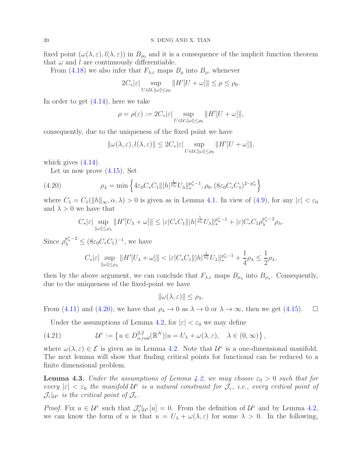fixed point  $(\omega(\lambda, \varepsilon), l(\lambda, \varepsilon))$  in  $B_{\rho_0}$  and it is a consequence of the implicit function theorem that  $\omega$  and l are continuously differentiable.

From [\(4.18\)](#page-18-0) we also infer that  $F_{\lambda,\varepsilon}$  maps  $B_\rho$  into  $B_\rho$ , whenever

$$
2C_*|\varepsilon|\sup_{U\in\mathcal{U},||\omega||\leq\rho_0}||H'[U+\omega]||\leq\rho\leq\rho_0.
$$

In order to get [\(4.14\)](#page-17-4), here we take

$$
\rho = \rho(\varepsilon) := 2C_*|\varepsilon| \sup_{U \in \mathcal{U}, ||\omega|| \le \rho_0} ||H'[U + \omega]||,
$$

consequently, due to the uniqueness of the fixed point we have

$$
\|\omega(\lambda,\varepsilon),l(\lambda,\varepsilon)\| \le 2C_*|\varepsilon| \sup_{U \in \mathcal{U}, \|\omega\| \le \rho_0} \|H'[U+\omega]\|,
$$

which gives  $(4.14)$ .

Let us now prove  $(4.15)$ . Set

(4.20) 
$$
\rho_{\lambda} = \min \left\{ 4\varepsilon_0 C_* C_1 \| |h|^{\frac{1}{p_{\alpha}^*}} U_{\lambda} \|_{*}^{p_{\alpha}^* - 1}, \rho_0, (8\varepsilon_0 C_* C_1)^{2 - p_{\alpha}^*} \right\}
$$

where  $C_1 = C_1(||h||_{\infty}, \alpha, \lambda) > 0$  is given as in Lemma [4.1.](#page-16-8) In view of [\(4.9\)](#page-16-5), for any  $|\varepsilon| < \varepsilon_0$ and  $\lambda > 0$  we have that

<span id="page-19-0"></span>
$$
C_*|\varepsilon|\sup_{\|\omega\|\leq\rho_\lambda}\|H'[U_\lambda+\omega]\|\leq |\varepsilon|C_*C_1\||h|^{\frac{1}{p_\alpha^*}}U_\lambda\|_{*}^{p_\alpha^*-1}+|\varepsilon|C_*C_1\rho_\lambda^{p_\alpha^*-2}\rho_\lambda.
$$

Since  $\rho_{\lambda}^{p_{\alpha}^* - 2} \leq (8\varepsilon_0 C_* C_1)^{-1}$ , we have

$$
C_*|\varepsilon|\sup_{\|\omega\|\leq\rho_\lambda}\|H'[U_\lambda+\omega]\|<|\varepsilon|C_*C_1\||h|^{\frac{1}{p_\alpha^*}}U_\lambda\|_\ast^{p_\alpha^*-1}+\frac{1}{4}\rho_\lambda\leq\frac{1}{2}\rho_\lambda,
$$

then by the above argument, we can conclude that  $F_{\lambda,\varepsilon}$  maps  $B_{\rho_{\lambda}}$  into  $B_{\rho_{\lambda}}$ . Consequently, due to the uniqueness of the fixed-point we have

$$
\|\omega(\lambda,\varepsilon)\| \leq \rho_{\lambda}.
$$

From [\(4.11\)](#page-16-6) and [\(4.20\)](#page-19-0), we have that  $\rho_{\lambda} \to 0$  as  $\lambda \to 0$  or  $\lambda \to \infty$ , then we get [\(4.15\)](#page-17-5).  $\Box$ 

Under the assumptions of Lemma [4.2,](#page-17-6) for  $|\varepsilon| < \varepsilon_0$  we may define

(4.21) 
$$
\mathcal{U}^{\varepsilon} := \left\{ u \in D_{\alpha,rad}^{2,2}(\mathbb{R}^N) | u = U_{\lambda} + \omega(\lambda, \varepsilon), \quad \lambda \in (0, \infty) \right\},
$$

where  $\omega(\lambda, \varepsilon) \in \mathcal{E}$  is given as in Lemma [4.2.](#page-17-6) Note that  $\mathcal{U}^{\varepsilon}$  is a one-dimensional manifold. The next lemma will show that finding critical points for functional can be reduced to a finite dimensional problem.

<span id="page-19-1"></span>**Lemma 4.3.** Under the assumptions of Lemma [4.2,](#page-17-6) we may choose  $\varepsilon_0 > 0$  such that for every  $|\varepsilon| < \varepsilon_0$  the manifold  $\mathcal{U}^{\varepsilon}$  is a natural constraint for  $\mathcal{J}_{\varepsilon}$ , i.e., every critical point of  $\mathcal{J}_{\varepsilon}|_{\mathcal{U}^{\varepsilon}}$  is the critical point of  $\mathcal{J}_{\varepsilon}$ .

*Proof.* Fix  $u \in \mathcal{U}^{\varepsilon}$  such that  $\mathcal{J}'_{\varepsilon}|_{\mathcal{U}^{\varepsilon}}[u] = 0$ . From the definition of  $\mathcal{U}^{\varepsilon}$  and by Lemma [4.2,](#page-17-6) we can know the form of u is that  $u = U_{\lambda} + \omega(\lambda, \varepsilon)$  for some  $\lambda > 0$ . In the following,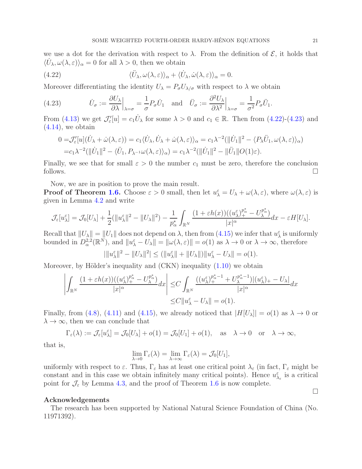we use a dot for the derivation with respect to  $\lambda$ . From the definition of  $\mathcal{E}$ , it holds that  $\langle U_\lambda, \omega(\lambda, \varepsilon) \rangle_\alpha = 0$  for all  $\lambda > 0$ , then we obtain

<span id="page-20-0"></span>(4.22) 
$$
\langle \ddot{U}_{\lambda}, \omega(\lambda, \varepsilon) \rangle_{\alpha} + \langle \dot{U}_{\lambda}, \dot{\omega}(\lambda, \varepsilon) \rangle_{\alpha} = 0.
$$

Moreover differentiating the identity  $U_{\lambda} = P_{\sigma} U_{\lambda/\sigma}$  with respect to  $\lambda$  we obtain

<span id="page-20-1"></span>(4.23) 
$$
\dot{U}_{\sigma} := \frac{\partial U_{\lambda}}{\partial \lambda} \Big|_{\lambda = \sigma} = \frac{1}{\sigma} P_{\sigma} \dot{U}_{1} \text{ and } \ddot{U}_{\sigma} := \frac{\partial^{2} U_{\lambda}}{\partial \lambda^{2}} \Big|_{\lambda = \sigma} = \frac{1}{\sigma^{2}} P_{\sigma} \ddot{U}_{1}.
$$

From [\(4.13\)](#page-17-2) we get  $\mathcal{J}'_{\varepsilon}[u] = c_1 \dot{U}_{\lambda}$  for some  $\lambda > 0$  and  $c_1 \in \mathbb{R}$ . Then from [\(4.22\)](#page-20-0)-[\(4.23\)](#page-20-1) and  $(4.14)$ , we obtain

$$
0 = \mathcal{J}'_{\varepsilon}[u](\dot{U}_{\lambda} + \dot{\omega}(\lambda, \varepsilon)) = c_1 \langle \dot{U}_{\lambda}, \dot{U}_{\lambda} + \dot{\omega}(\lambda, \varepsilon) \rangle_{\alpha} = c_1 \lambda^{-2} (\|\dot{U}_1\|^2 - \langle P_{\lambda} \ddot{U}_1, \omega(\lambda, \varepsilon) \rangle_{\alpha})
$$
  
=  $c_1 \lambda^{-2} (\|\dot{U}_1\|^2 - \langle \ddot{U}_1, P_{\lambda^{-1}} \omega(\lambda, \varepsilon) \rangle_{\alpha}) = c_1 \lambda^{-2} (\|\dot{U}_1\|^2 - \|\ddot{U}_1\| O(1)\varepsilon).$ 

Finally, we see that for small  $\varepsilon > 0$  the number  $c_1$  must be zero, therefore the conclusion follows.  $\Box$ 

Now, we are in position to prove the main result.

**Proof of Theorem [1.6.](#page-6-3)** Choose  $\varepsilon > 0$  small, then let  $u_{\lambda}^{\varepsilon} = U_{\lambda} + \omega(\lambda, \varepsilon)$ , where  $\omega(\lambda, \varepsilon)$  is given in Lemma [4.2](#page-17-6) and write

$$
\mathcal{J}_{\varepsilon}[u_{\lambda}^{\varepsilon}]=\mathcal{J}_{0}[U_{\lambda}]+\frac{1}{2}(\|u_{\lambda}^{\varepsilon}\|^{2}-\|U_{\lambda}\|^{2})-\frac{1}{p_{\alpha}^{*}}\int_{\mathbb{R}^{N}}\frac{(1+\varepsilon h(x))((u_{\lambda}^{\varepsilon})_{+}^{p_{\alpha}^{*}}-U_{\lambda}^{p_{\alpha}^{*}})}{|x|^{\alpha}}dx-\varepsilon H[U_{\lambda}].
$$

Recall that  $||U_\lambda|| = ||U_1||$  does not depend on  $\lambda$ , then from [\(4.15\)](#page-17-5) we infer that  $u_\lambda^{\varepsilon}$  is uniformly bounded in  $D_{\alpha}^{2,2}(\mathbb{R}^N)$ , and  $||u_{\lambda}^{\varepsilon} - U_{\lambda}|| = ||\omega(\lambda, \varepsilon)|| = o(1)$  as  $\lambda \to 0$  or  $\lambda \to \infty$ , therefore

$$
|\|u_{\lambda}^{\varepsilon}\|^2 - \|U_{\lambda}\|^2| \le (||u_{\lambda}^{\varepsilon}|| + \|U_{\lambda}\|) \|u_{\lambda}^{\varepsilon} - U_{\lambda}\| = o(1).
$$

Moreover, by Hölder's inequality and  $(CKN)$  inequality  $(1.10)$  we obtain

$$
\left| \int_{\mathbb{R}^N} \frac{(1+\varepsilon h(x))((u_\lambda^\varepsilon)_+^{p^*_\alpha} - U_\lambda^{p^*_\alpha})}{|x|^\alpha} dx \right| \leq C \int_{\mathbb{R}^N} \frac{((u_\lambda^\varepsilon)_+^{p^*_\alpha-1} + U_\lambda^{p^*_\alpha-1})|(u_\lambda^\varepsilon)_+ - U_\lambda|}{|x|^\alpha} dx
$$
  

$$
\leq C \|u_\lambda^\varepsilon - U_\lambda\| = o(1).
$$

Finally, from [\(4.8\)](#page-16-4), [\(4.11\)](#page-16-6) and [\(4.15\)](#page-17-5), we already noticed that  $|H[U_\lambda]| = o(1)$  as  $\lambda \to 0$  or  $\lambda \to \infty$ , then we can conclude that

$$
\Gamma_{\varepsilon}(\lambda) := \mathcal{J}_{\varepsilon}[u_{\lambda}^{\varepsilon}] = \mathcal{J}_{0}[U_{\lambda}] + o(1) = \mathcal{J}_{0}[U_{1}] + o(1), \text{ as } \lambda \to 0 \text{ or } \lambda \to \infty,
$$

that is,

$$
\lim_{\lambda \to 0} \Gamma_{\varepsilon}(\lambda) = \lim_{\lambda \to \infty} \Gamma_{\varepsilon}(\lambda) = \mathcal{J}_0[U_1],
$$

uniformly with respect to  $\varepsilon$ . Thus,  $\Gamma_{\varepsilon}$  has at least one critical point  $\lambda_{\varepsilon}$  (in fact,  $\Gamma_{\varepsilon}$  might be constant and in this case we obtain infinitely many critical points). Hence  $u_{\lambda_{\varepsilon}}^{\varepsilon}$  is a critical point for  $\mathcal{J}_{\varepsilon}$  by Lemma [4.3,](#page-19-1) and the proof of Theorem [1.6](#page-6-3) is now complete.

### Acknowledgements

The research has been supported by National Natural Science Foundation of China (No. 11971392).

 $\Box$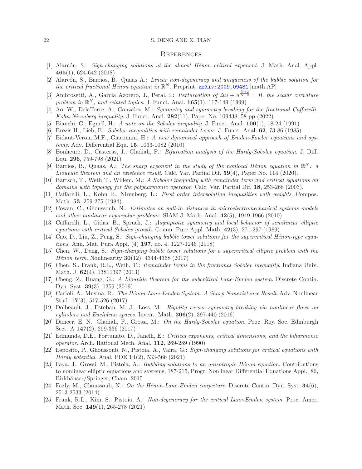#### 22 S. DENG AND X. TIAN

#### **REFERENCES**

- <span id="page-21-5"></span>[1] Alarcón, S.: Sign-changing solutions at the almost Hénon critical exponent. J. Math. Anal. Appl. 465(1), 624-642 (2018)
- <span id="page-21-8"></span>[2] Alarcón, S., Barrios, B., Quaas A.: Linear non-degeneracy and uniqueness of the bubble solution for the critical fractional Hénon equation in  $\mathbb{R}^N$ . Preprint.  $arXiv:2009.09481$  [math.AP]
- <span id="page-21-2"></span>[3] Ambrosetti, A., Garcia Azorero, J., Peral, I.: Perturbation of  $\Delta u + u^{\frac{N+2}{N-2}} = 0$ , the scalar curvature problem in  $\mathbb{R}^N$ , and related topics. J. Funct. Anal.  $\mathbf{165}(1)$ , 117-149 (1999)
- <span id="page-21-10"></span><span id="page-21-1"></span>[4] Ao, W., DelaTorre, A., González, M.: Symmetry and symmetry breaking for the fractional Caffarelli-Kohn-Nirenberg inequality. J. Funct. Anal.  $282(11)$ , Paper No. 109438, 58 pp (2022)
- <span id="page-21-22"></span>[5] Bianchi, G., Egnell, H.: A note on the Sobolev inequality. J. Funct. Anal. **100**(1), 18-24 (1991)
- <span id="page-21-14"></span>[6] Brezis H., Lieb, E.: Sobolev inequalities with remainder terms. J. Funct. Anal. 62, 73-86 (1985).
- [7] Bidaut-Veron, M.F., Giacomini, H.: A new dynamical approach of Emden-Fowler equations and systems. Adv. Differential Equ. 15, 1033-1082 (2010)
- <span id="page-21-11"></span>[8] Bonheure, D., Casteras, J., Gladiali, F.: Bifurcation analysis of the Hardy-Sobolev equation. J. Diff. Equ. 296, 759-798 (2021)
- <span id="page-21-9"></span>[9] Barrios, B., Quaas, A.: The sharp exponent in the study of the nonlocal Hénon equation in  $\mathbb{R}^N$ : a Liouville theorem and an existence result. Calc. Var. Partial Dif. 59(4), Paper No. 114 (2020).
- <span id="page-21-23"></span>[10] Bartsch, T., Weth T., Willem, M.: A Sobolev inequality with remainder term and critical equations on domains with topology for the polyharmonic operator. Calc. Var. Partial Dif. 18, 253-268 (2003).
- <span id="page-21-19"></span>[11] Caffarelli, L., Kohn R., Nirenberg, L.: First order interpolation inequalities with weights. Compos. Math. 53, 259-275 (1984)
- <span id="page-21-21"></span>[12] Cowan, C., Ghoussoub, N.: Estimates on pull-in distances in microelectromechanical systems models and other nonlinear eigenvalue problems. SIAM J. Math. Anal. 42(5), 1949-1966 (2010)
- <span id="page-21-0"></span>[13] Caffarelli, L., Gidas, B., Spruck, J.: Asymptotic symmetry and local behavior of semilinear elliptic equations with critical Sobolev growth. Comm. Pure Appl. Math. 42(3), 271-297 (1989)
- <span id="page-21-4"></span>[14] Cao, D., Liu, Z., Peng, S.: Sign-changing bubble tower solutions for the supercritical Hénon-type equations. Ann. Mat. Pura Appl. (4) 197, no. 4, 1227-1246 (2018)
- <span id="page-21-3"></span>[15] Chen, W., Deng, S.: Sign-changing bubble tower solutions for a supercritical elliptic problem with the *Hénon term.* Nonlinearity  $30(12)$ ,  $4344-4368$  (2017)
- <span id="page-21-24"></span>[16] Chen, S., Frank, R.L., Weth, T.: Remainder terms in the fractional Sobolev inequality. Indiana Univ. Math. J. 62(4), 13811397 (2013)
- <span id="page-21-15"></span>[17] Cheng, Z., Huang, G.: A Liouville theorem for the subcritical Lane-Emden system. Discrete Contin. Dyn. Syst. 39(3), 1359 (2019)
- <span id="page-21-16"></span>[18] Carioli, A., Musina, R.: The Hénon-Lane-Emden System: A Sharp Nonexistence Result. Adv. Nonlinear Stud. 17(3), 517-526 (2017)
- <span id="page-21-12"></span>[19] Dolbeault, J., Esteban, M. J., Loss, M.: Rigidity versus symmetry breaking via nonlinear flows on *cylinders and Euclidean spaces.* Invent. Math.  $206(2)$ , 397-440 (2016)
- <span id="page-21-13"></span>[20] Dancer, E. N., Gladiali, F., Grossi, M.: On the Hardy-Sobolev equation. Proc. Roy. Soc. Edinburgh Sect. A 147(2), 299-336 (2017)
- <span id="page-21-20"></span>[21] Edmunds, D.E., Fortunato, D., Janelli, E.: Critical exponents, critical dimensions, and the biharmonic operator. Arch. Rational Mech. Anal. 112, 269-289 (1990)
- <span id="page-21-6"></span>[22] Esposito, P., Ghoussoub, N., Pistoia, A., Vaira, G.: Sign-changing solutions for critical equations with Hardy potential. Anal. PDE 14(2), 533-566 (2021)
- <span id="page-21-7"></span>[23] Faya, J., Grossi, M., Pistoia, A.: Bubbling solutions to an anisotropic Hénon equation. Contributions to nonlinear elliptic equations and systems, 187-215, Progr. Nonlinear Differential Equations Appl., 86, Birkhäuser/Springer, Cham, 2015
- <span id="page-21-17"></span>[24] Fazly, M., Ghoussoub, N.: On the Hénon-Lane-Emden conjecture. Discrete Contin. Dyn. Syst.  $34(6)$ , 2513-2533 (2014)
- <span id="page-21-18"></span>[25] Frank, R.L., Kim, S., Pistoia, A.: Non-degeneracy for the critical Lane-Emden system. Proc. Amer. Math. Soc. 149(1), 265-278 (2021)